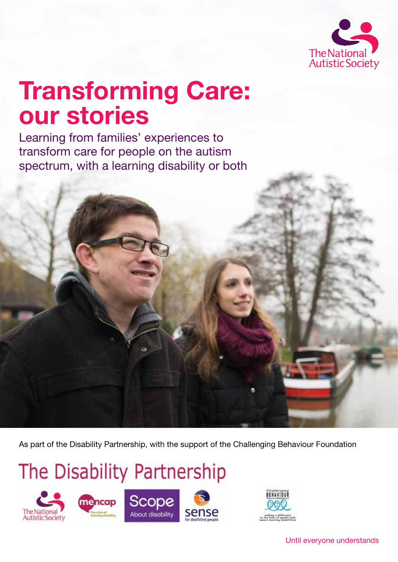

# **Transforming Care: our stories**

Learning from families' experiences to transform care for people on the autism spectrum, with a learning disability or both

As part of the Disability Partnership, with the support of the Challenging Behaviour Foundation

sense











Until everyone understands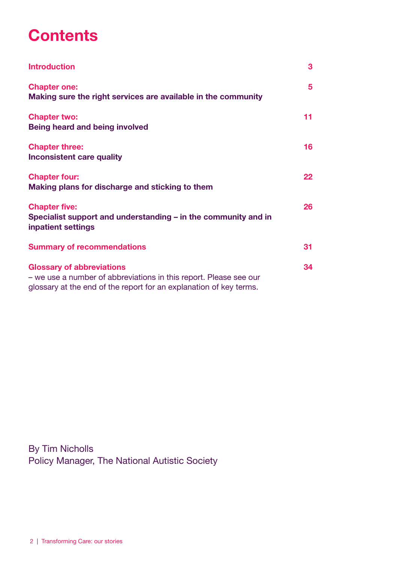## **Contents**

| <b>Introduction</b>                                                                                                                                                         | 3       |
|-----------------------------------------------------------------------------------------------------------------------------------------------------------------------------|---------|
| <b>Chapter one:</b><br>Making sure the right services are available in the community                                                                                        | 5       |
| <b>Chapter two:</b><br><b>Being heard and being involved</b>                                                                                                                | 11      |
| <b>Chapter three:</b><br><b>Inconsistent care quality</b>                                                                                                                   | 16      |
| <b>Chapter four:</b><br>Making plans for discharge and sticking to them                                                                                                     | $22 \,$ |
| <b>Chapter five:</b><br>Specialist support and understanding – in the community and in<br>inpatient settings                                                                | 26      |
| <b>Summary of recommendations</b>                                                                                                                                           | 31      |
| <b>Glossary of abbreviations</b><br>- we use a number of abbreviations in this report. Please see our<br>glossary at the end of the report for an explanation of key terms. | 34      |

By Tim Nicholls Policy Manager, The National Autistic Society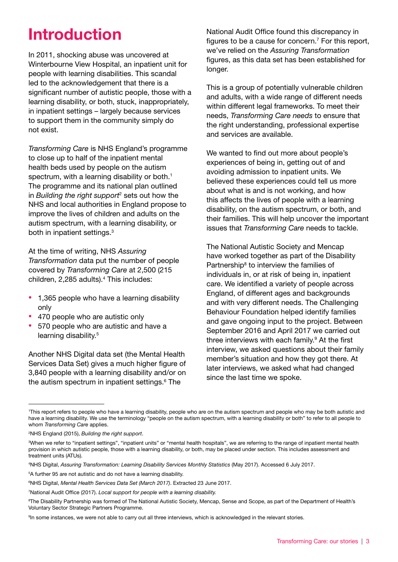## **Introduction**

In 2011, shocking abuse was uncovered at Winterbourne View Hospital, an inpatient unit for people with learning disabilities. This scandal led to the acknowledgement that there is a significant number of autistic people, those with a learning disability, or both, stuck, inappropriately, in inpatient settings – largely because services to support them in the community simply do not exist.

*Transforming Care* is NHS England's programme to close up to half of the inpatient mental health beds used by people on the autism spectrum, with a learning disability or both.<sup>1</sup> The programme and its national plan outlined in *Building the right support<sup>2</sup>* sets out how the NHS and local authorities in England propose to improve the lives of children and adults on the autism spectrum, with a learning disability, or both in inpatient settings.<sup>3</sup>

At the time of writing, NHS *Assuring Transformation* data put the number of people covered by *Transforming Care* at 2,500 (215 children, 2,285 adults).<sup>4</sup> This includes:

- 1,365 people who have a learning disability only
- 470 people who are autistic only
- 570 people who are autistic and have a learning disability.<sup>5</sup>

Another NHS Digital data set (the Mental Health Services Data Set) gives a much higher figure of 3,840 people with a learning disability and/or on the autism spectrum in inpatient settings.<sup>6</sup> The

National Audit Office found this discrepancy in figures to be a cause for concern.<sup>7</sup> For this report, we've relied on the *Assuring Transformation* figures, as this data set has been established for longer.

This is a group of potentially vulnerable children and adults, with a wide range of different needs within different legal frameworks. To meet their needs, *Transforming Care needs* to ensure that the right understanding, professional expertise and services are available.

We wanted to find out more about people's experiences of being in, getting out of and avoiding admission to inpatient units. We believed these experiences could tell us more about what is and is not working, and how this affects the lives of people with a learning disability, on the autism spectrum, or both, and their families. This will help uncover the important issues that *Transforming Care* needs to tackle.

The National Autistic Society and Mencap have worked together as part of the Disability Partnership<sup>8</sup> to interview the families of individuals in, or at risk of being in, inpatient care. We identified a variety of people across England, of different ages and backgrounds and with very different needs. The Challenging Behaviour Foundation helped identify families and gave ongoing input to the project. Between September 2016 and April 2017 we carried out three interviews with each family.<sup>9</sup> At the first interview, we asked questions about their family member's situation and how they got there. At later interviews, we asked what had changed since the last time we spoke.

<sup>1</sup> This report refers to people who have a learning disability, people who are on the autism spectrum and people who may be both autistic and have a learning disability. We use the terminology "people on the autism spectrum, with a learning disability or both" to refer to all people to whom *Transforming Care* applies.

<sup>2</sup> NHS England (2015), *Building the right support*.

<sup>3</sup> When we refer to "inpatient settings", "inpatient units" or "mental health hospitals", we are referring to the range of inpatient mental health provision in which autistic people, those with a learning disability, or both, may be placed under section. This includes assessment and treatment units (ATUs).

<sup>4</sup> NHS Digital, *Assuring Transformation: Learning Disability Services Monthly Statistics* (May 2017). Accessed 6 July 2017.

<sup>5</sup> A further 95 are not autistic and do not have a learning disability.

<sup>6</sup> NHS Digital, *Mental Health Services Data Set (March 2017)*. Extracted 23 June 2017.

<sup>7</sup> National Audit Office (2017). *Local support for people with a learning disability.*

<sup>8</sup> The Disability Partnership was formed of The National Autistic Society, Mencap, Sense and Scope, as part of the Department of Health's Voluntary Sector Strategic Partners Programme.

<sup>9</sup> In some instances, we were not able to carry out all three interviews, which is acknowledged in the relevant stories.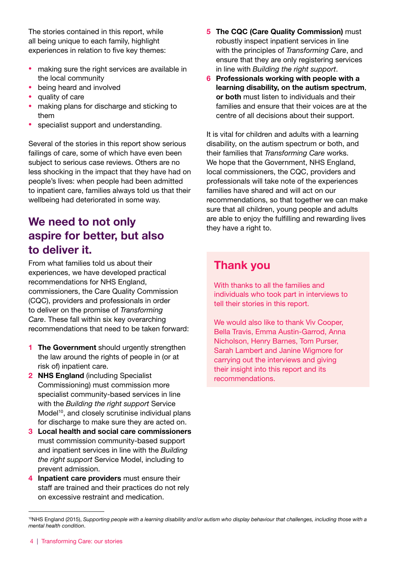The stories contained in this report, while all being unique to each family, highlight experiences in relation to five key themes:

- making sure the right services are available in the local community
- being heard and involved
- quality of care
- making plans for discharge and sticking to them
- specialist support and understanding.

Several of the stories in this report show serious failings of care, some of which have even been subject to serious case reviews. Others are no less shocking in the impact that they have had on people's lives: when people had been admitted to inpatient care, families always told us that their wellbeing had deteriorated in some way.

## **We need to not only aspire for better, but also to deliver it.**

From what families told us about their experiences, we have developed practical recommendations for NHS England, commissioners, the Care Quality Commission (CQC), providers and professionals in order to deliver on the promise of *Transforming Care*. These fall within six key overarching recommendations that need to be taken forward:

- **1 The Government** should urgently strengthen the law around the rights of people in (or at risk of) inpatient care.
- **2 NHS England** (including Specialist Commissioning) must commission more specialist community-based services in line with the *Building the right support* Service Model<sup>10</sup>, and closely scrutinise individual plans for discharge to make sure they are acted on.
- **3 Local health and social care commissioners** must commission community-based support and inpatient services in line with the *Building the right support* Service Model, including to prevent admission.
- **4 Inpatient care providers** must ensure their staff are trained and their practices do not rely on excessive restraint and medication.
- **5 The CQC (Care Quality Commission)** must robustly inspect inpatient services in line with the principles of *Transforming Care*, and ensure that they are only registering services in line with *Building the right support*.
- **6 Professionals working with people with a learning disability, on the autism spectrum**, **or both** must listen to individuals and their families and ensure that their voices are at the centre of all decisions about their support.

It is vital for children and adults with a learning disability, on the autism spectrum or both, and their families that *Transforming Care* works. We hope that the Government, NHS England, local commissioners, the CQC, providers and professionals will take note of the experiences families have shared and will act on our recommendations, so that together we can make sure that all children, young people and adults are able to enjoy the fulfilling and rewarding lives they have a right to.

### **Thank you**

With thanks to all the families and individuals who took part in interviews to tell their stories in this report.

We would also like to thank Viv Cooper, Bella Travis, Emma Austin-Garrod, Anna Nicholson, Henry Barnes, Tom Purser, Sarah Lambert and Janine Wigmore for carrying out the interviews and giving their insight into this report and its recommendations.

<sup>&</sup>lt;sup>10</sup>NHS England (2015), Supporting people with a learning disability and/or autism who display behaviour that challenges, including those with a *mental health condition*.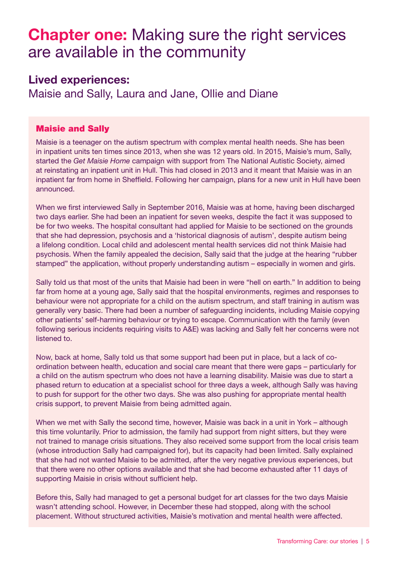## **Chapter one:** Making sure the right services are available in the community

#### **Lived experiences:**

Maisie and Sally, Laura and Jane, Ollie and Diane

#### Maisie and Sally

Maisie is a teenager on the autism spectrum with complex mental health needs. She has been in inpatient units ten times since 2013, when she was 12 years old. In 2015, Maisie's mum, Sally, started the *Get Maisie Home* campaign with support from The National Autistic Society, aimed at reinstating an inpatient unit in Hull. This had closed in 2013 and it meant that Maisie was in an inpatient far from home in Sheffield. Following her campaign, plans for a new unit in Hull have been announced.

When we first interviewed Sally in September 2016, Maisie was at home, having been discharged two days earlier. She had been an inpatient for seven weeks, despite the fact it was supposed to be for two weeks. The hospital consultant had applied for Maisie to be sectioned on the grounds that she had depression, psychosis and a 'historical diagnosis of autism', despite autism being a lifelong condition. Local child and adolescent mental health services did not think Maisie had psychosis. When the family appealed the decision, Sally said that the judge at the hearing "rubber stamped" the application, without properly understanding autism – especially in women and girls.

Sally told us that most of the units that Maisie had been in were "hell on earth." In addition to being far from home at a young age, Sally said that the hospital environments, regimes and responses to behaviour were not appropriate for a child on the autism spectrum, and staff training in autism was generally very basic. There had been a number of safeguarding incidents, including Maisie copying other patients' self-harming behaviour or trying to escape. Communication with the family (even following serious incidents requiring visits to A&E) was lacking and Sally felt her concerns were not listened to.

Now, back at home, Sally told us that some support had been put in place, but a lack of coordination between health, education and social care meant that there were gaps – particularly for a child on the autism spectrum who does not have a learning disability. Maisie was due to start a phased return to education at a specialist school for three days a week, although Sally was having to push for support for the other two days. She was also pushing for appropriate mental health crisis support, to prevent Maisie from being admitted again.

When we met with Sally the second time, however, Maisie was back in a unit in York – although this time voluntarily. Prior to admission, the family had support from night sitters, but they were not trained to manage crisis situations. They also received some support from the local crisis team (whose introduction Sally had campaigned for), but its capacity had been limited. Sally explained that she had not wanted Maisie to be admitted, after the very negative previous experiences, but that there were no other options available and that she had become exhausted after 11 days of supporting Maisie in crisis without sufficient help.

Before this, Sally had managed to get a personal budget for art classes for the two days Maisie wasn't attending school. However, in December these had stopped, along with the school placement. Without structured activities, Maisie's motivation and mental health were affected.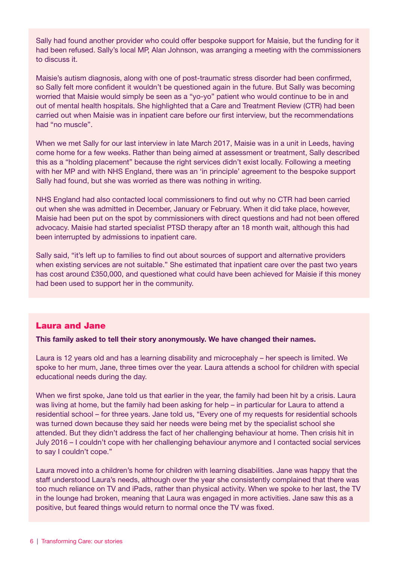Sally had found another provider who could offer bespoke support for Maisie, but the funding for it had been refused. Sally's local MP, Alan Johnson, was arranging a meeting with the commissioners to discuss it.

Maisie's autism diagnosis, along with one of post-traumatic stress disorder had been confirmed, so Sally felt more confident it wouldn't be questioned again in the future. But Sally was becoming worried that Maisie would simply be seen as a "yo-yo" patient who would continue to be in and out of mental health hospitals. She highlighted that a Care and Treatment Review (CTR) had been carried out when Maisie was in inpatient care before our first interview, but the recommendations had "no muscle".

When we met Sally for our last interview in late March 2017, Maisie was in a unit in Leeds, having come home for a few weeks. Rather than being aimed at assessment or treatment, Sally described this as a "holding placement" because the right services didn't exist locally. Following a meeting with her MP and with NHS England, there was an 'in principle' agreement to the bespoke support Sally had found, but she was worried as there was nothing in writing.

NHS England had also contacted local commissioners to find out why no CTR had been carried out when she was admitted in December, January or February. When it did take place, however, Maisie had been put on the spot by commissioners with direct questions and had not been offered advocacy. Maisie had started specialist PTSD therapy after an 18 month wait, although this had been interrupted by admissions to inpatient care.

Sally said, "it's left up to families to find out about sources of support and alternative providers when existing services are not suitable." She estimated that inpatient care over the past two years has cost around £350,000, and questioned what could have been achieved for Maisie if this money had been used to support her in the community.

#### Laura and Jane

**This family asked to tell their story anonymously. We have changed their names.**

Laura is 12 years old and has a learning disability and microcephaly – her speech is limited. We spoke to her mum, Jane, three times over the year. Laura attends a school for children with special educational needs during the day.

When we first spoke, Jane told us that earlier in the year, the family had been hit by a crisis. Laura was living at home, but the family had been asking for help – in particular for Laura to attend a residential school – for three years. Jane told us, "Every one of my requests for residential schools was turned down because they said her needs were being met by the specialist school she attended. But they didn't address the fact of her challenging behaviour at home. Then crisis hit in July 2016 – I couldn't cope with her challenging behaviour anymore and I contacted social services to say I couldn't cope."

Laura moved into a children's home for children with learning disabilities. Jane was happy that the staff understood Laura's needs, although over the year she consistently complained that there was too much reliance on TV and iPads, rather than physical activity. When we spoke to her last, the TV in the lounge had broken, meaning that Laura was engaged in more activities. Jane saw this as a positive, but feared things would return to normal once the TV was fixed.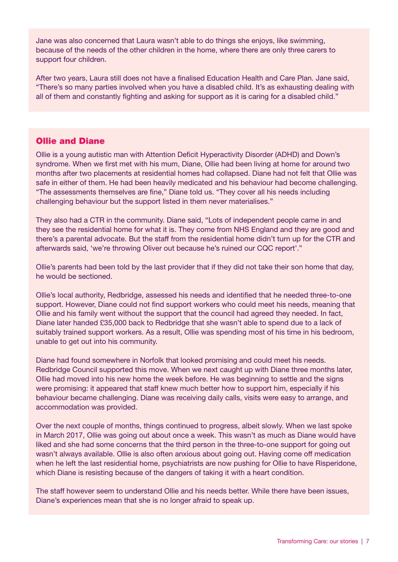Jane was also concerned that Laura wasn't able to do things she enjoys, like swimming, because of the needs of the other children in the home, where there are only three carers to support four children.

After two years, Laura still does not have a finalised Education Health and Care Plan. Jane said, "There's so many parties involved when you have a disabled child. It's as exhausting dealing with all of them and constantly fighting and asking for support as it is caring for a disabled child."

#### Ollie and Diane

Ollie is a young autistic man with Attention Deficit Hyperactivity Disorder (ADHD) and Down's syndrome. When we first met with his mum, Diane, Ollie had been living at home for around two months after two placements at residential homes had collapsed. Diane had not felt that Ollie was safe in either of them. He had been heavily medicated and his behaviour had become challenging. "The assessments themselves are fine," Diane told us. "They cover all his needs including challenging behaviour but the support listed in them never materialises."

They also had a CTR in the community. Diane said, "Lots of independent people came in and they see the residential home for what it is. They come from NHS England and they are good and there's a parental advocate. But the staff from the residential home didn't turn up for the CTR and afterwards said, 'we're throwing Oliver out because he's ruined our CQC report'."

Ollie's parents had been told by the last provider that if they did not take their son home that day, he would be sectioned.

Ollie's local authority, Redbridge, assessed his needs and identified that he needed three-to-one support. However, Diane could not find support workers who could meet his needs, meaning that Ollie and his family went without the support that the council had agreed they needed. In fact, Diane later handed £35,000 back to Redbridge that she wasn't able to spend due to a lack of suitably trained support workers. As a result, Ollie was spending most of his time in his bedroom, unable to get out into his community.

Diane had found somewhere in Norfolk that looked promising and could meet his needs. Redbridge Council supported this move. When we next caught up with Diane three months later, Ollie had moved into his new home the week before. He was beginning to settle and the signs were promising: it appeared that staff knew much better how to support him, especially if his behaviour became challenging. Diane was receiving daily calls, visits were easy to arrange, and accommodation was provided.

Over the next couple of months, things continued to progress, albeit slowly. When we last spoke in March 2017, Ollie was going out about once a week. This wasn't as much as Diane would have liked and she had some concerns that the third person in the three-to-one support for going out wasn't always available. Ollie is also often anxious about going out. Having come off medication when he left the last residential home, psychiatrists are now pushing for Ollie to have Risperidone, which Diane is resisting because of the dangers of taking it with a heart condition.

The staff however seem to understand Ollie and his needs better. While there have been issues, Diane's experiences mean that she is no longer afraid to speak up.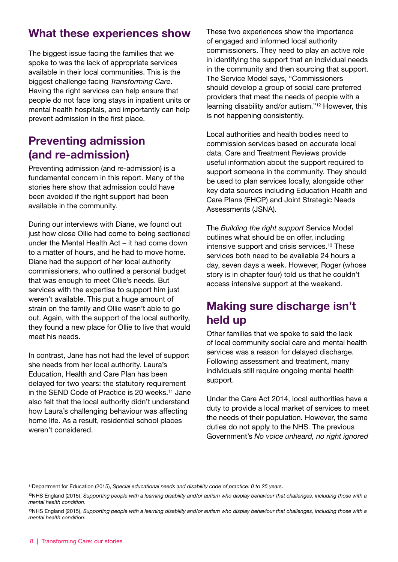### **What these experiences show**

The biggest issue facing the families that we spoke to was the lack of appropriate services available in their local communities. This is the biggest challenge facing *Transforming Care*. Having the right services can help ensure that people do not face long stays in inpatient units or mental health hospitals, and importantly can help prevent admission in the first place.

### **Preventing admission (and re-admission)**

Preventing admission (and re-admission) is a fundamental concern in this report. Many of the stories here show that admission could have been avoided if the right support had been available in the community.

During our interviews with Diane, we found out just how close Ollie had come to being sectioned under the Mental Health Act – it had come down to a matter of hours, and he had to move home. Diane had the support of her local authority commissioners, who outlined a personal budget that was enough to meet Ollie's needs. But services with the expertise to support him just weren't available. This put a huge amount of strain on the family and Ollie wasn't able to go out. Again, with the support of the local authority, they found a new place for Ollie to live that would meet his needs.

In contrast, Jane has not had the level of support she needs from her local authority. Laura's Education, Health and Care Plan has been delayed for two years: the statutory requirement in the SEND Code of Practice is 20 weeks.<sup>11</sup> Jane also felt that the local authority didn't understand how Laura's challenging behaviour was affecting home life. As a result, residential school places weren't considered.

These two experiences show the importance of engaged and informed local authority commissioners. They need to play an active role in identifying the support that an individual needs in the community and then sourcing that support. The Service Model says, "Commissioners should develop a group of social care preferred providers that meet the needs of people with a learning disability and/or autism."12 However, this is not happening consistently.

Local authorities and health bodies need to commission services based on accurate local data. Care and Treatment Reviews provide useful information about the support required to support someone in the community. They should be used to plan services locally, alongside other key data sources including Education Health and Care Plans (EHCP) and Joint Strategic Needs Assessments (JSNA).

The *Building the right support* Service Model outlines what should be on offer, including intensive support and crisis services.<sup>13</sup> These services both need to be available 24 hours a day, seven days a week. However, Roger (whose story is in chapter four) told us that he couldn't access intensive support at the weekend.

### **Making sure discharge isn't held up**

Other families that we spoke to said the lack of local community social care and mental health services was a reason for delayed discharge. Following assessment and treatment, many individuals still require ongoing mental health support.

Under the Care Act 2014, local authorities have a duty to provide a local market of services to meet the needs of their population. However, the same duties do not apply to the NHS. The previous Government's *No voice unheard, no right ignored*

<sup>11</sup>Department for Education (2015), *Special educational needs and disability code of practice: 0 to 25 years*.

<sup>&</sup>lt;sup>12</sup>NHS England (2015), Supporting people with a learning disability and/or autism who display behaviour that challenges, including those with a *mental health condition*.

<sup>&</sup>lt;sup>13</sup>NHS England (2015), Supporting people with a learning disability and/or autism who display behaviour that challenges, including those with a *mental health condition*.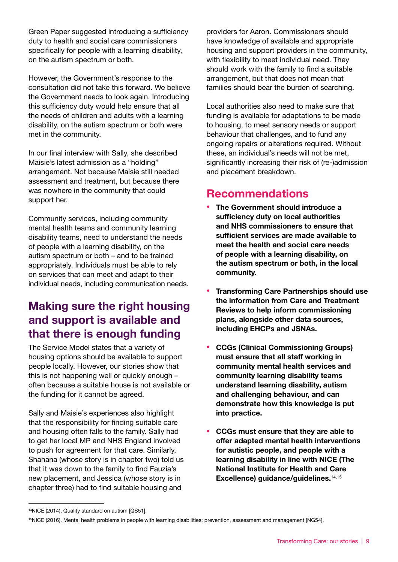Green Paper suggested introducing a sufficiency duty to health and social care commissioners specifically for people with a learning disability, on the autism spectrum or both.

However, the Government's response to the consultation did not take this forward. We believe the Government needs to look again. Introducing this sufficiency duty would help ensure that all the needs of children and adults with a learning disability, on the autism spectrum or both were met in the community.

In our final interview with Sally, she described Maisie's latest admission as a "holding" arrangement. Not because Maisie still needed assessment and treatment, but because there was nowhere in the community that could support her.

Community services, including community mental health teams and community learning disability teams, need to understand the needs of people with a learning disability, on the autism spectrum or both – and to be trained appropriately. Individuals must be able to rely on services that can meet and adapt to their individual needs, including communication needs.

## **Making sure the right housing and support is available and that there is enough funding**

The Service Model states that a variety of housing options should be available to support people locally. However, our stories show that this is not happening well or quickly enough – often because a suitable house is not available or the funding for it cannot be agreed.

Sally and Maisie's experiences also highlight that the responsibility for finding suitable care and housing often falls to the family. Sally had to get her local MP and NHS England involved to push for agreement for that care. Similarly, Shahana (whose story is in chapter two) told us that it was down to the family to find Fauzia's new placement, and Jessica (whose story is in chapter three) had to find suitable housing and

providers for Aaron. Commissioners should have knowledge of available and appropriate housing and support providers in the community, with flexibility to meet individual need. They should work with the family to find a suitable arrangement, but that does not mean that families should bear the burden of searching.

Local authorities also need to make sure that funding is available for adaptations to be made to housing, to meet sensory needs or support behaviour that challenges, and to fund any ongoing repairs or alterations required. Without these, an individual's needs will not be met, significantly increasing their risk of (re-)admission and placement breakdown.

### **Recommendations**

- **The Government should introduce a sufficiency duty on local authorities and NHS commissioners to ensure that sufficient services are made available to meet the health and social care needs of people with a learning disability, on the autism spectrum or both, in the local community.**
- **• Transforming Care Partnerships should use the information from Care and Treatment Reviews to help inform commissioning plans, alongside other data sources, including EHCPs and JSNAs.**
- **• CCGs (Clinical Commissioning Groups) must ensure that all staff working in community mental health services and community learning disability teams understand learning disability, autism and challenging behaviour, and can demonstrate how this knowledge is put into practice.**
- **• CCGs must ensure that they are able to offer adapted mental health interventions for autistic people, and people with a learning disability in line with NICE (The National Institute for Health and Care Excellence) guidance/guidelines.**14,15

<sup>14</sup>NICE (2014), Quality standard on autism [QS51].

<sup>15</sup>NICE (2016), Mental health problems in people with learning disabilities: prevention, assessment and management [NG54].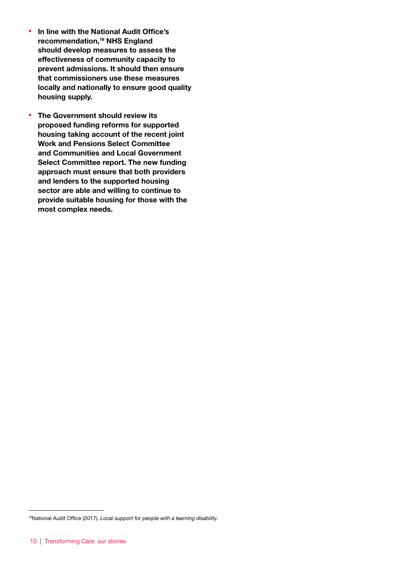- **• In line with the National Audit Office's recommendation,16 NHS England should develop measures to assess the effectiveness of community capacity to prevent admissions. It should then ensure that commissioners use these measures locally and nationally to ensure good quality housing supply.**
- **• The Government should review its proposed funding reforms for supported housing taking account of the recent joint Work and Pensions Select Committee and Communities and Local Government Select Committee report. The new funding approach must ensure that both providers and lenders to the supported housing sector are able and willing to continue to provide suitable housing for those with the most complex needs.**

<sup>16</sup>National Audit Office (2017). *Local support for people with a learning disability*.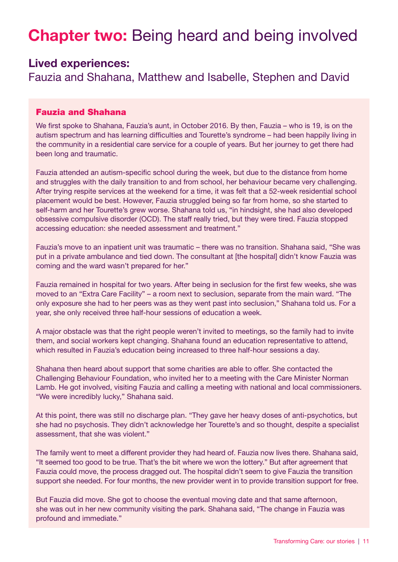## **Chapter two:** Being heard and being involved

#### **Lived experiences:**

Fauzia and Shahana, Matthew and Isabelle, Stephen and David

#### Fauzia and Shahana

We first spoke to Shahana, Fauzia's aunt, in October 2016. By then, Fauzia – who is 19, is on the autism spectrum and has learning difficulties and Tourette's syndrome – had been happily living in the community in a residential care service for a couple of years. But her journey to get there had been long and traumatic.

Fauzia attended an autism-specific school during the week, but due to the distance from home and struggles with the daily transition to and from school, her behaviour became very challenging. After trying respite services at the weekend for a time, it was felt that a 52-week residential school placement would be best. However, Fauzia struggled being so far from home, so she started to self-harm and her Tourette's grew worse. Shahana told us, "in hindsight, she had also developed obsessive compulsive disorder (OCD). The staff really tried, but they were tired. Fauzia stopped accessing education: she needed assessment and treatment."

Fauzia's move to an inpatient unit was traumatic – there was no transition. Shahana said, "She was put in a private ambulance and tied down. The consultant at [the hospital] didn't know Fauzia was coming and the ward wasn't prepared for her."

Fauzia remained in hospital for two years. After being in seclusion for the first few weeks, she was moved to an "Extra Care Facility" – a room next to seclusion, separate from the main ward. "The only exposure she had to her peers was as they went past into seclusion," Shahana told us. For a year, she only received three half-hour sessions of education a week.

A major obstacle was that the right people weren't invited to meetings, so the family had to invite them, and social workers kept changing. Shahana found an education representative to attend, which resulted in Fauzia's education being increased to three half-hour sessions a day.

Shahana then heard about support that some charities are able to offer. She contacted the Challenging Behaviour Foundation, who invited her to a meeting with the Care Minister Norman Lamb. He got involved, visiting Fauzia and calling a meeting with national and local commissioners. "We were incredibly lucky," Shahana said.

At this point, there was still no discharge plan. "They gave her heavy doses of anti-psychotics, but she had no psychosis. They didn't acknowledge her Tourette's and so thought, despite a specialist assessment, that she was violent."

The family went to meet a different provider they had heard of. Fauzia now lives there. Shahana said, "It seemed too good to be true. That's the bit where we won the lottery." But after agreement that Fauzia could move, the process dragged out. The hospital didn't seem to give Fauzia the transition support she needed. For four months, the new provider went in to provide transition support for free.

But Fauzia did move. She got to choose the eventual moving date and that same afternoon, she was out in her new community visiting the park. Shahana said, "The change in Fauzia was profound and immediate."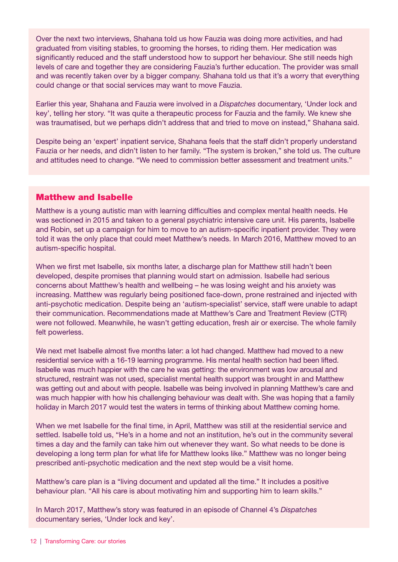Over the next two interviews, Shahana told us how Fauzia was doing more activities, and had graduated from visiting stables, to grooming the horses, to riding them. Her medication was significantly reduced and the staff understood how to support her behaviour. She still needs high levels of care and together they are considering Fauzia's further education. The provider was small and was recently taken over by a bigger company. Shahana told us that it's a worry that everything could change or that social services may want to move Fauzia.

Earlier this year, Shahana and Fauzia were involved in a *Dispatches* documentary, 'Under lock and key', telling her story. "It was quite a therapeutic process for Fauzia and the family. We knew she was traumatised, but we perhaps didn't address that and tried to move on instead," Shahana said.

Despite being an 'expert' inpatient service, Shahana feels that the staff didn't properly understand Fauzia or her needs, and didn't listen to her family. "The system is broken," she told us. The culture and attitudes need to change. "We need to commission better assessment and treatment units."

#### Matthew and Isabelle

Matthew is a young autistic man with learning difficulties and complex mental health needs. He was sectioned in 2015 and taken to a general psychiatric intensive care unit. His parents, Isabelle and Robin, set up a campaign for him to move to an autism-specific inpatient provider. They were told it was the only place that could meet Matthew's needs. In March 2016, Matthew moved to an autism-specific hospital.

When we first met Isabelle, six months later, a discharge plan for Matthew still hadn't been developed, despite promises that planning would start on admission. Isabelle had serious concerns about Matthew's health and wellbeing – he was losing weight and his anxiety was increasing. Matthew was regularly being positioned face-down, prone restrained and injected with anti-psychotic medication. Despite being an 'autism-specialist' service, staff were unable to adapt their communication. Recommendations made at Matthew's Care and Treatment Review (CTR) were not followed. Meanwhile, he wasn't getting education, fresh air or exercise. The whole family felt powerless.

We next met Isabelle almost five months later: a lot had changed. Matthew had moved to a new residential service with a 16-19 learning programme. His mental health section had been lifted. Isabelle was much happier with the care he was getting: the environment was low arousal and structured, restraint was not used, specialist mental health support was brought in and Matthew was getting out and about with people. Isabelle was being involved in planning Matthew's care and was much happier with how his challenging behaviour was dealt with. She was hoping that a family holiday in March 2017 would test the waters in terms of thinking about Matthew coming home.

When we met Isabelle for the final time, in April, Matthew was still at the residential service and settled. Isabelle told us, "He's in a home and not an institution, he's out in the community several times a day and the family can take him out whenever they want. So what needs to be done is developing a long term plan for what life for Matthew looks like." Matthew was no longer being prescribed anti-psychotic medication and the next step would be a visit home.

Matthew's care plan is a "living document and updated all the time." It includes a positive behaviour plan. "All his care is about motivating him and supporting him to learn skills."

In March 2017, Matthew's story was featured in an episode of Channel 4's *Dispatches* documentary series, 'Under lock and key'.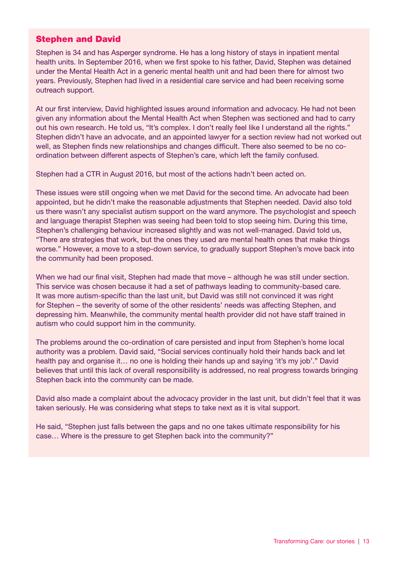#### Stephen and David

Stephen is 34 and has Asperger syndrome. He has a long history of stays in inpatient mental health units. In September 2016, when we first spoke to his father, David, Stephen was detained under the Mental Health Act in a generic mental health unit and had been there for almost two years. Previously, Stephen had lived in a residential care service and had been receiving some outreach support.

At our first interview, David highlighted issues around information and advocacy. He had not been given any information about the Mental Health Act when Stephen was sectioned and had to carry out his own research. He told us, "It's complex. I don't really feel like I understand all the rights." Stephen didn't have an advocate, and an appointed lawyer for a section review had not worked out well, as Stephen finds new relationships and changes difficult. There also seemed to be no coordination between different aspects of Stephen's care, which left the family confused.

Stephen had a CTR in August 2016, but most of the actions hadn't been acted on.

These issues were still ongoing when we met David for the second time. An advocate had been appointed, but he didn't make the reasonable adjustments that Stephen needed. David also told us there wasn't any specialist autism support on the ward anymore. The psychologist and speech and language therapist Stephen was seeing had been told to stop seeing him. During this time, Stephen's challenging behaviour increased slightly and was not well-managed. David told us, "There are strategies that work, but the ones they used are mental health ones that make things worse." However, a move to a step-down service, to gradually support Stephen's move back into the community had been proposed.

When we had our final visit, Stephen had made that move – although he was still under section. This service was chosen because it had a set of pathways leading to community-based care. It was more autism-specific than the last unit, but David was still not convinced it was right for Stephen – the severity of some of the other residents' needs was affecting Stephen, and depressing him. Meanwhile, the community mental health provider did not have staff trained in autism who could support him in the community.

The problems around the co-ordination of care persisted and input from Stephen's home local authority was a problem. David said, "Social services continually hold their hands back and let health pay and organise it... no one is holding their hands up and saying 'it's my job'." David believes that until this lack of overall responsibility is addressed, no real progress towards bringing Stephen back into the community can be made.

David also made a complaint about the advocacy provider in the last unit, but didn't feel that it was taken seriously. He was considering what steps to take next as it is vital support.

He said, "Stephen just falls between the gaps and no one takes ultimate responsibility for his case… Where is the pressure to get Stephen back into the community?"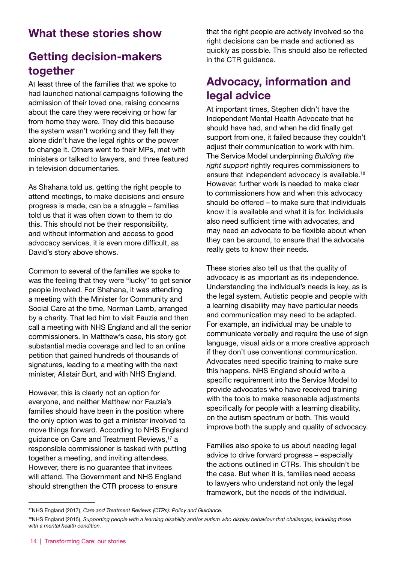## **What these stories show**

## **Getting decision-makers together**

At least three of the families that we spoke to had launched national campaigns following the admission of their loved one, raising concerns about the care they were receiving or how far from home they were. They did this because the system wasn't working and they felt they alone didn't have the legal rights or the power to change it. Others went to their MPs, met with ministers or talked to lawyers, and three featured in television documentaries.

As Shahana told us, getting the right people to attend meetings, to make decisions and ensure progress is made, can be a struggle – families told us that it was often down to them to do this. This should not be their responsibility, and without information and access to good advocacy services, it is even more difficult, as David's story above shows.

Common to several of the families we spoke to was the feeling that they were "lucky" to get senior people involved. For Shahana, it was attending a meeting with the Minister for Community and Social Care at the time, Norman Lamb, arranged by a charity. That led him to visit Fauzia and then call a meeting with NHS England and all the senior commissioners. In Matthew's case, his story got substantial media coverage and led to an online petition that gained hundreds of thousands of signatures, leading to a meeting with the next minister, Alistair Burt, and with NHS England.

However, this is clearly not an option for everyone, and neither Matthew nor Fauzia's families should have been in the position where the only option was to get a minister involved to move things forward. According to NHS England guidance on Care and Treatment Reviews,<sup>17</sup> a responsible commissioner is tasked with putting together a meeting, and inviting attendees. However, there is no guarantee that invitees will attend. The Government and NHS England should strengthen the CTR process to ensure

that the right people are actively involved so the right decisions can be made and actioned as quickly as possible. This should also be reflected in the CTR guidance.

## **Advocacy, information and legal advice**

At important times, Stephen didn't have the Independent Mental Health Advocate that he should have had, and when he did finally get support from one, it failed because they couldn't adjust their communication to work with him. The Service Model underpinning *Building the right support* rightly requires commissioners to ensure that independent advocacy is available.18 However, further work is needed to make clear to commissioners how and when this advocacy should be offered – to make sure that individuals know it is available and what it is for. Individuals also need sufficient time with advocates, and may need an advocate to be flexible about when they can be around, to ensure that the advocate really gets to know their needs.

These stories also tell us that the quality of advocacy is as important as its independence. Understanding the individual's needs is key, as is the legal system. Autistic people and people with a learning disability may have particular needs and communication may need to be adapted. For example, an individual may be unable to communicate verbally and require the use of sign language, visual aids or a more creative approach if they don't use conventional communication. Advocates need specific training to make sure this happens. NHS England should write a specific requirement into the Service Model to provide advocates who have received training with the tools to make reasonable adjustments specifically for people with a learning disability, on the autism spectrum or both. This would improve both the supply and quality of advocacy.

Families also spoke to us about needing legal advice to drive forward progress – especially the actions outlined in CTRs. This shouldn't be the case. But when it is, families need access to lawyers who understand not only the legal framework, but the needs of the individual.

<sup>17</sup>NHS England (2017), *Care and Treatment Reviews (CTRs): Policy and Guidance*.

<sup>18</sup>NHS England (2015), *Supporting people with a learning disability and/or autism who display behaviour that challenges, including those with a mental health condition.*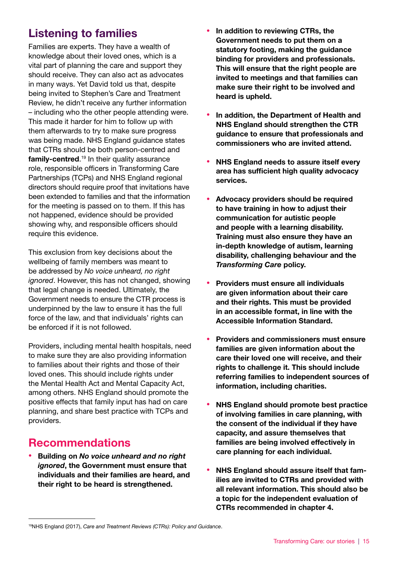## **Listening to families**

Families are experts. They have a wealth of knowledge about their loved ones, which is a vital part of planning the care and support they should receive. They can also act as advocates in many ways. Yet David told us that, despite being invited to Stephen's Care and Treatment Review, he didn't receive any further information – including who the other people attending were. This made it harder for him to follow up with them afterwards to try to make sure progress was being made. NHS England guidance states that CTRs should be both person-centred and **family-centred.**<sup>19</sup> In their quality assurance role, responsible officers in Transforming Care Partnerships (TCPs) and NHS England regional directors should require proof that invitations have been extended to families and that the information for the meeting is passed on to them. If this has not happened, evidence should be provided showing why, and responsible officers should require this evidence.

This exclusion from key decisions about the wellbeing of family members was meant to be addressed by *No voice unheard, no right ignored*. However, this has not changed, showing that legal change is needed. Ultimately, the Government needs to ensure the CTR process is underpinned by the law to ensure it has the full force of the law, and that individuals' rights can be enforced if it is not followed.

Providers, including mental health hospitals, need to make sure they are also providing information to families about their rights and those of their loved ones. This should include rights under the Mental Health Act and Mental Capacity Act, among others. NHS England should promote the positive effects that family input has had on care planning, and share best practice with TCPs and providers.

#### **Recommendations**

• **Building on** *No voice unheard and no right ignored***, the Government must ensure that individuals and their families are heard, and their right to be heard is strengthened.**

- **In addition to reviewing CTRs, the Government needs to put them on a statutory footing, making the guidance binding for providers and professionals. This will ensure that the right people are invited to meetings and that families can make sure their right to be involved and heard is upheld.**
- **In addition, the Department of Health and NHS England should strengthen the CTR guidance to ensure that professionals and commissioners who are invited attend.**
- **NHS England needs to assure itself every area has sufficient high quality advocacy services.**
- **Advocacy providers should be required to have training in how to adjust their communication for autistic people and people with a learning disability. Training must also ensure they have an in-depth knowledge of autism, learning disability, challenging behaviour and the**  *Transforming Care* **policy.**
- **Providers must ensure all individuals are given information about their care and their rights. This must be provided in an accessible format, in line with the Accessible Information Standard.**
- **Providers and commissioners must ensure families are given information about the care their loved one will receive, and their rights to challenge it. This should include referring families to independent sources of information, including charities.**
- **NHS England should promote best practice of involving families in care planning, with the consent of the individual if they have capacity, and assure themselves that families are being involved effectively in care planning for each individual.**
- **NHS England should assure itself that families are invited to CTRs and provided with all relevant information. This should also be a topic for the independent evaluation of CTRs recommended in chapter 4.**

<sup>19</sup>NHS England (2017), *Care and Treatment Reviews (CTRs): Policy and Guidance*.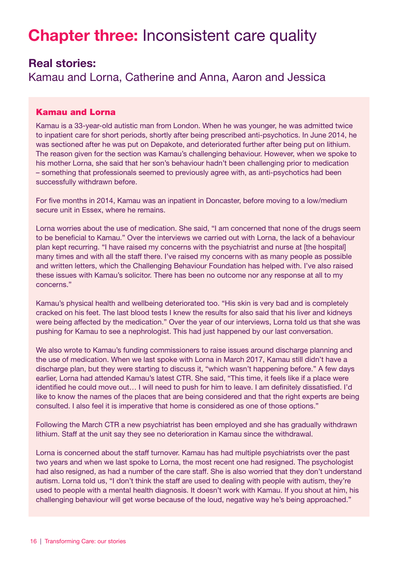## **Chapter three: Inconsistent care quality**

#### **Real stories:**

Kamau and Lorna, Catherine and Anna, Aaron and Jessica

#### Kamau and Lorna

Kamau is a 33-year-old autistic man from London. When he was younger, he was admitted twice to inpatient care for short periods, shortly after being prescribed anti-psychotics. In June 2014, he was sectioned after he was put on Depakote, and deteriorated further after being put on lithium. The reason given for the section was Kamau's challenging behaviour. However, when we spoke to his mother Lorna, she said that her son's behaviour hadn't been challenging prior to medication – something that professionals seemed to previously agree with, as anti-psychotics had been successfully withdrawn before.

For five months in 2014, Kamau was an inpatient in Doncaster, before moving to a low/medium secure unit in Essex, where he remains.

Lorna worries about the use of medication. She said, "I am concerned that none of the drugs seem to be beneficial to Kamau." Over the interviews we carried out with Lorna, the lack of a behaviour plan kept recurring. "I have raised my concerns with the psychiatrist and nurse at [the hospital] many times and with all the staff there. I've raised my concerns with as many people as possible and written letters, which the Challenging Behaviour Foundation has helped with. I've also raised these issues with Kamau's solicitor. There has been no outcome nor any response at all to my concerns."

Kamau's physical health and wellbeing deteriorated too. "His skin is very bad and is completely cracked on his feet. The last blood tests I knew the results for also said that his liver and kidneys were being affected by the medication." Over the year of our interviews, Lorna told us that she was pushing for Kamau to see a nephrologist. This had just happened by our last conversation.

We also wrote to Kamau's funding commissioners to raise issues around discharge planning and the use of medication. When we last spoke with Lorna in March 2017, Kamau still didn't have a discharge plan, but they were starting to discuss it, "which wasn't happening before." A few days earlier, Lorna had attended Kamau's latest CTR. She said, "This time, it feels like if a place were identified he could move out… I will need to push for him to leave. I am definitely dissatisfied. I'd like to know the names of the places that are being considered and that the right experts are being consulted. I also feel it is imperative that home is considered as one of those options."

Following the March CTR a new psychiatrist has been employed and she has gradually withdrawn lithium. Staff at the unit say they see no deterioration in Kamau since the withdrawal.

Lorna is concerned about the staff turnover. Kamau has had multiple psychiatrists over the past two years and when we last spoke to Lorna, the most recent one had resigned. The psychologist had also resigned, as had a number of the care staff. She is also worried that they don't understand autism. Lorna told us, "I don't think the staff are used to dealing with people with autism, they're used to people with a mental health diagnosis. It doesn't work with Kamau. If you shout at him, his challenging behaviour will get worse because of the loud, negative way he's being approached."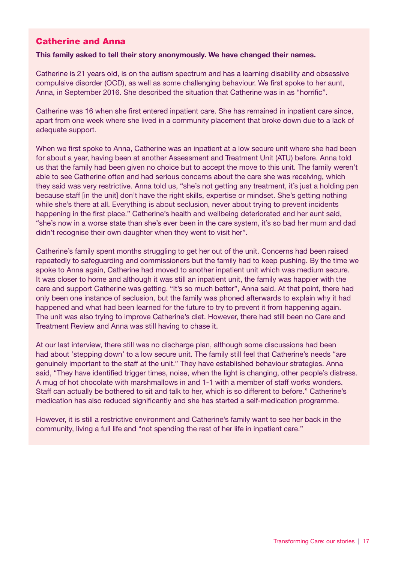#### Catherine and Anna

#### **This family asked to tell their story anonymously. We have changed their names.**

Catherine is 21 years old, is on the autism spectrum and has a learning disability and obsessive compulsive disorder (OCD), as well as some challenging behaviour. We first spoke to her aunt, Anna, in September 2016. She described the situation that Catherine was in as "horrific".

Catherine was 16 when she first entered inpatient care. She has remained in inpatient care since, apart from one week where she lived in a community placement that broke down due to a lack of adequate support.

When we first spoke to Anna, Catherine was an inpatient at a low secure unit where she had been for about a year, having been at another Assessment and Treatment Unit (ATU) before. Anna told us that the family had been given no choice but to accept the move to this unit. The family weren't able to see Catherine often and had serious concerns about the care she was receiving, which they said was very restrictive. Anna told us, "she's not getting any treatment, it's just a holding pen because staff [in the unit] don't have the right skills, expertise or mindset. She's getting nothing while she's there at all. Everything is about seclusion, never about trying to prevent incidents happening in the first place." Catherine's health and wellbeing deteriorated and her aunt said, "she's now in a worse state than she's ever been in the care system, it's so bad her mum and dad didn't recognise their own daughter when they went to visit her".

Catherine's family spent months struggling to get her out of the unit. Concerns had been raised repeatedly to safeguarding and commissioners but the family had to keep pushing. By the time we spoke to Anna again, Catherine had moved to another inpatient unit which was medium secure. It was closer to home and although it was still an inpatient unit, the family was happier with the care and support Catherine was getting. "It's so much better", Anna said. At that point, there had only been one instance of seclusion, but the family was phoned afterwards to explain why it had happened and what had been learned for the future to try to prevent it from happening again. The unit was also trying to improve Catherine's diet. However, there had still been no Care and Treatment Review and Anna was still having to chase it.

At our last interview, there still was no discharge plan, although some discussions had been had about 'stepping down' to a low secure unit. The family still feel that Catherine's needs "are genuinely important to the staff at the unit." They have established behaviour strategies. Anna said, "They have identified trigger times, noise, when the light is changing, other people's distress. A mug of hot chocolate with marshmallows in and 1-1 with a member of staff works wonders. Staff can actually be bothered to sit and talk to her, which is so different to before." Catherine's medication has also reduced significantly and she has started a self-medication programme.

However, it is still a restrictive environment and Catherine's family want to see her back in the community, living a full life and "not spending the rest of her life in inpatient care."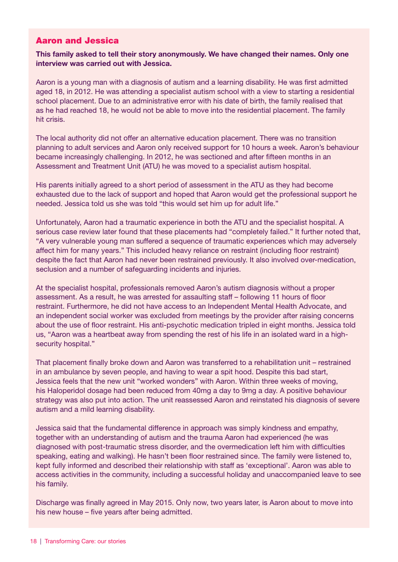#### Aaron and Jessica

#### **This family asked to tell their story anonymously. We have changed their names. Only one interview was carried out with Jessica.**

Aaron is a young man with a diagnosis of autism and a learning disability. He was first admitted aged 18, in 2012. He was attending a specialist autism school with a view to starting a residential school placement. Due to an administrative error with his date of birth, the family realised that as he had reached 18, he would not be able to move into the residential placement. The family hit crisis.

The local authority did not offer an alternative education placement. There was no transition planning to adult services and Aaron only received support for 10 hours a week. Aaron's behaviour became increasingly challenging. In 2012, he was sectioned and after fifteen months in an Assessment and Treatment Unit (ATU) he was moved to a specialist autism hospital.

His parents initially agreed to a short period of assessment in the ATU as they had become exhausted due to the lack of support and hoped that Aaron would get the professional support he needed. Jessica told us she was told "this would set him up for adult life."

Unfortunately, Aaron had a traumatic experience in both the ATU and the specialist hospital. A serious case review later found that these placements had "completely failed." It further noted that, "A very vulnerable young man suffered a sequence of traumatic experiences which may adversely affect him for many years." This included heavy reliance on restraint (including floor restraint) despite the fact that Aaron had never been restrained previously. It also involved over-medication, seclusion and a number of safeguarding incidents and injuries.

At the specialist hospital, professionals removed Aaron's autism diagnosis without a proper assessment. As a result, he was arrested for assaulting staff – following 11 hours of floor restraint. Furthermore, he did not have access to an Independent Mental Health Advocate, and an independent social worker was excluded from meetings by the provider after raising concerns about the use of floor restraint. His anti-psychotic medication tripled in eight months. Jessica told us, "Aaron was a heartbeat away from spending the rest of his life in an isolated ward in a highsecurity hospital."

That placement finally broke down and Aaron was transferred to a rehabilitation unit – restrained in an ambulance by seven people, and having to wear a spit hood. Despite this bad start, Jessica feels that the new unit "worked wonders" with Aaron. Within three weeks of moving, his Haloperidol dosage had been reduced from 40mg a day to 9mg a day. A positive behaviour strategy was also put into action. The unit reassessed Aaron and reinstated his diagnosis of severe autism and a mild learning disability.

Jessica said that the fundamental difference in approach was simply kindness and empathy, together with an understanding of autism and the trauma Aaron had experienced (he was diagnosed with post-traumatic stress disorder, and the overmedication left him with difficulties speaking, eating and walking). He hasn't been floor restrained since. The family were listened to, kept fully informed and described their relationship with staff as 'exceptional'. Aaron was able to access activities in the community, including a successful holiday and unaccompanied leave to see his family.

Discharge was finally agreed in May 2015. Only now, two years later, is Aaron about to move into his new house – five years after being admitted.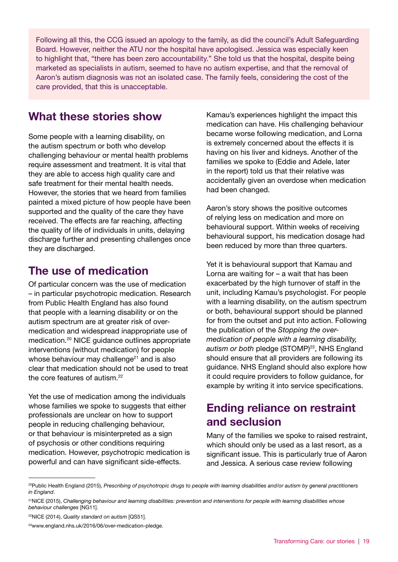Following all this, the CCG issued an apology to the family, as did the council's Adult Safeguarding Board. However, neither the ATU nor the hospital have apologised. Jessica was especially keen to highlight that, "there has been zero accountability." She told us that the hospital, despite being marketed as specialists in autism, seemed to have no autism expertise, and that the removal of Aaron's autism diagnosis was not an isolated case. The family feels, considering the cost of the care provided, that this is unacceptable.

### **What these stories show**

Some people with a learning disability, on the autism spectrum or both who develop challenging behaviour or mental health problems require assessment and treatment. It is vital that they are able to access high quality care and safe treatment for their mental health needs. However, the stories that we heard from families painted a mixed picture of how people have been supported and the quality of the care they have received. The effects are far reaching, affecting the quality of life of individuals in units, delaying discharge further and presenting challenges once they are discharged.

#### **The use of medication**

Of particular concern was the use of medication – in particular psychotropic medication. Research from Public Health England has also found that people with a learning disability or on the autism spectrum are at greater risk of overmedication and widespread inappropriate use of medication.20 NICE guidance outlines appropriate interventions (without medication) for people whose behaviour may challenge $21$  and is also clear that medication should not be used to treat the core features of autism.<sup>22</sup>

Yet the use of medication among the individuals whose families we spoke to suggests that either professionals are unclear on how to support people in reducing challenging behaviour, or that behaviour is misinterpreted as a sign of psychosis or other conditions requiring medication. However, psychotropic medication is powerful and can have significant side-effects.

Kamau's experiences highlight the impact this medication can have. His challenging behaviour became worse following medication, and Lorna is extremely concerned about the effects it is having on his liver and kidneys. Another of the families we spoke to (Eddie and Adele, later in the report) told us that their relative was accidentally given an overdose when medication had been changed.

Aaron's story shows the positive outcomes of relying less on medication and more on behavioural support. Within weeks of receiving behavioural support, his medication dosage had been reduced by more than three quarters.

Yet it is behavioural support that Kamau and Lorna are waiting for – a wait that has been exacerbated by the high turnover of staff in the unit, including Kamau's psychologist. For people with a learning disability, on the autism spectrum or both, behavioural support should be planned for from the outset and put into action. Following the publication of the *Stopping the overmedication of people with a learning disability,*  autism or both pledge (STOMP)<sup>23</sup>, NHS England should ensure that all providers are following its guidance. NHS England should also explore how it could require providers to follow guidance, for example by writing it into service specifications.

## **Ending reliance on restraint and seclusion**

Many of the families we spoke to raised restraint, which should only be used as a last resort, as a significant issue. This is particularly true of Aaron and Jessica. A serious case review following

<sup>20</sup>Public Health England (2015), *Prescribing of psychotropic drugs to people with learning disabilities and/or autism by general practitioners in England*.

<sup>21</sup>NICE (2015), *Challenging behaviour and learning disabilities: prevention and interventions for people with learning disabilities whose behaviour challenges* [NG11].

<sup>22</sup>NICE (2014), *Quality standard on autism* [QS51].

<sup>23</sup>www.england.nhs.uk/2016/06/over-medication-pledge.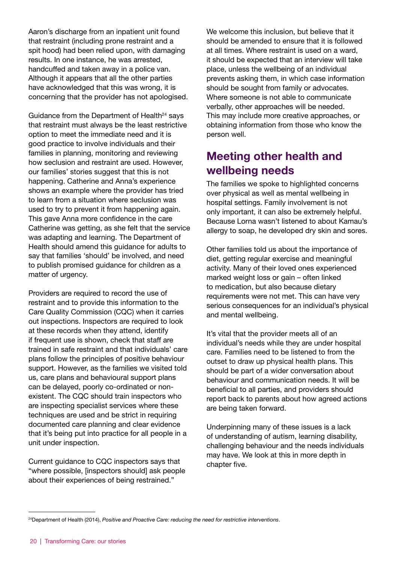Aaron's discharge from an inpatient unit found that restraint (including prone restraint and a spit hood) had been relied upon, with damaging results. In one instance, he was arrested, handcuffed and taken away in a police van. Although it appears that all the other parties have acknowledged that this was wrong, it is concerning that the provider has not apologised.

Guidance from the Department of Health<sup>24</sup> says that restraint must always be the least restrictive option to meet the immediate need and it is good practice to involve individuals and their families in planning, monitoring and reviewing how seclusion and restraint are used. However, our families' stories suggest that this is not happening. Catherine and Anna's experience shows an example where the provider has tried to learn from a situation where seclusion was used to try to prevent it from happening again. This gave Anna more confidence in the care Catherine was getting, as she felt that the service was adapting and learning. The Department of Health should amend this guidance for adults to say that families 'should' be involved, and need to publish promised guidance for children as a matter of urgency.

Providers are required to record the use of restraint and to provide this information to the Care Quality Commission (CQC) when it carries out inspections. Inspectors are required to look at these records when they attend, identify if frequent use is shown, check that staff are trained in safe restraint and that individuals' care plans follow the principles of positive behaviour support. However, as the families we visited told us, care plans and behavioural support plans can be delayed, poorly co-ordinated or nonexistent. The CQC should train inspectors who are inspecting specialist services where these techniques are used and be strict in requiring documented care planning and clear evidence that it's being put into practice for all people in a unit under inspection.

Current guidance to CQC inspectors says that "where possible, [inspectors should] ask people about their experiences of being restrained."

We welcome this inclusion, but believe that it should be amended to ensure that it is followed at all times. Where restraint is used on a ward, it should be expected that an interview will take place, unless the wellbeing of an individual prevents asking them, in which case information should be sought from family or advocates. Where someone is not able to communicate verbally, other approaches will be needed. This may include more creative approaches, or obtaining information from those who know the person well.

## **Meeting other health and wellbeing needs**

The families we spoke to highlighted concerns over physical as well as mental wellbeing in hospital settings. Family involvement is not only important, it can also be extremely helpful. Because Lorna wasn't listened to about Kamau's allergy to soap, he developed dry skin and sores.

Other families told us about the importance of diet, getting regular exercise and meaningful activity. Many of their loved ones experienced marked weight loss or gain – often linked to medication, but also because dietary requirements were not met. This can have very serious consequences for an individual's physical and mental wellbeing.

It's vital that the provider meets all of an individual's needs while they are under hospital care. Families need to be listened to from the outset to draw up physical health plans. This should be part of a wider conversation about behaviour and communication needs. It will be beneficial to all parties, and providers should report back to parents about how agreed actions are being taken forward.

Underpinning many of these issues is a lack of understanding of autism, learning disability, challenging behaviour and the needs individuals may have. We look at this in more depth in chapter five.

<sup>24</sup>Department of Health (2014), *Positive and Proactive Care: reducing the need for restrictive interventions*.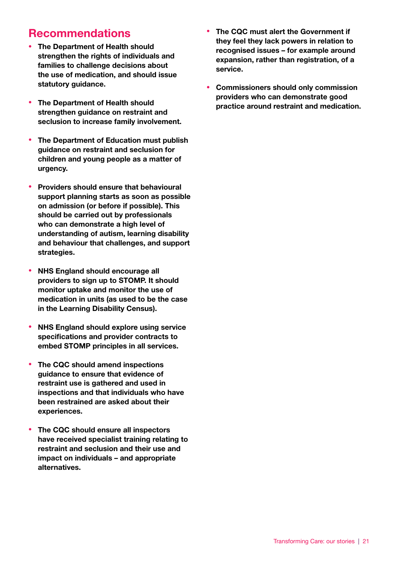### **Recommendations**

- **The Department of Health should strengthen the rights of individuals and families to challenge decisions about the use of medication, and should issue statutory guidance.**
- **The Department of Health should strengthen guidance on restraint and seclusion to increase family involvement.**
- **The Department of Education must publish guidance on restraint and seclusion for children and young people as a matter of urgency.**
- **Providers should ensure that behavioural support planning starts as soon as possible on admission (or before if possible). This should be carried out by professionals who can demonstrate a high level of understanding of autism, learning disability and behaviour that challenges, and support strategies.**
- **NHS England should encourage all providers to sign up to STOMP. It should monitor uptake and monitor the use of medication in units (as used to be the case in the Learning Disability Census).**
- **NHS England should explore using service specifications and provider contracts to embed STOMP principles in all services.**
- **The CQC should amend inspections guidance to ensure that evidence of restraint use is gathered and used in inspections and that individuals who have been restrained are asked about their experiences.**
- **The CQC should ensure all inspectors have received specialist training relating to restraint and seclusion and their use and impact on individuals – and appropriate alternatives.**
- **The CQC must alert the Government if they feel they lack powers in relation to recognised issues – for example around expansion, rather than registration, of a service.**
- **Commissioners should only commission providers who can demonstrate good practice around restraint and medication.**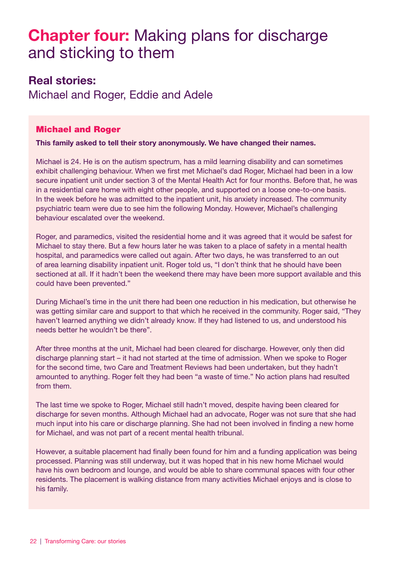## **Chapter four:** Making plans for discharge and sticking to them

### **Real stories:**  Michael and Roger, Eddie and Adele

#### Michael and Roger

**This family asked to tell their story anonymously. We have changed their names.**

Michael is 24. He is on the autism spectrum, has a mild learning disability and can sometimes exhibit challenging behaviour. When we first met Michael's dad Roger, Michael had been in a low secure inpatient unit under section 3 of the Mental Health Act for four months. Before that, he was in a residential care home with eight other people, and supported on a loose one-to-one basis. In the week before he was admitted to the inpatient unit, his anxiety increased. The community psychiatric team were due to see him the following Monday. However, Michael's challenging behaviour escalated over the weekend.

Roger, and paramedics, visited the residential home and it was agreed that it would be safest for Michael to stay there. But a few hours later he was taken to a place of safety in a mental health hospital, and paramedics were called out again. After two days, he was transferred to an out of area learning disability inpatient unit. Roger told us, "I don't think that he should have been sectioned at all. If it hadn't been the weekend there may have been more support available and this could have been prevented."

During Michael's time in the unit there had been one reduction in his medication, but otherwise he was getting similar care and support to that which he received in the community. Roger said, "They haven't learned anything we didn't already know. If they had listened to us, and understood his needs better he wouldn't be there".

After three months at the unit, Michael had been cleared for discharge. However, only then did discharge planning start – it had not started at the time of admission. When we spoke to Roger for the second time, two Care and Treatment Reviews had been undertaken, but they hadn't amounted to anything. Roger felt they had been "a waste of time." No action plans had resulted from them.

The last time we spoke to Roger, Michael still hadn't moved, despite having been cleared for discharge for seven months. Although Michael had an advocate, Roger was not sure that she had much input into his care or discharge planning. She had not been involved in finding a new home for Michael, and was not part of a recent mental health tribunal.

However, a suitable placement had finally been found for him and a funding application was being processed. Planning was still underway, but it was hoped that in his new home Michael would have his own bedroom and lounge, and would be able to share communal spaces with four other residents. The placement is walking distance from many activities Michael enjoys and is close to his family.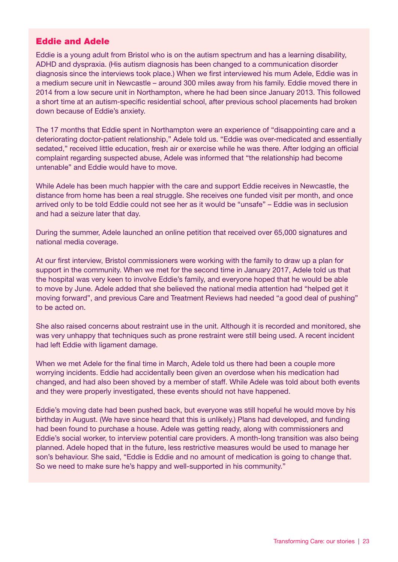#### Eddie and Adele

Eddie is a young adult from Bristol who is on the autism spectrum and has a learning disability, ADHD and dyspraxia. (His autism diagnosis has been changed to a communication disorder diagnosis since the interviews took place.) When we first interviewed his mum Adele, Eddie was in a medium secure unit in Newcastle – around 300 miles away from his family. Eddie moved there in 2014 from a low secure unit in Northampton, where he had been since January 2013. This followed a short time at an autism-specific residential school, after previous school placements had broken down because of Eddie's anxiety.

The 17 months that Eddie spent in Northampton were an experience of "disappointing care and a deteriorating doctor-patient relationship," Adele told us. "Eddie was over-medicated and essentially sedated," received little education, fresh air or exercise while he was there. After lodging an official complaint regarding suspected abuse, Adele was informed that "the relationship had become untenable" and Eddie would have to move.

While Adele has been much happier with the care and support Eddie receives in Newcastle, the distance from home has been a real struggle. She receives one funded visit per month, and once arrived only to be told Eddie could not see her as it would be "unsafe" – Eddie was in seclusion and had a seizure later that day.

During the summer, Adele launched an online petition that received over 65,000 signatures and national media coverage.

At our first interview, Bristol commissioners were working with the family to draw up a plan for support in the community. When we met for the second time in January 2017, Adele told us that the hospital was very keen to involve Eddie's family, and everyone hoped that he would be able to move by June. Adele added that she believed the national media attention had "helped get it moving forward", and previous Care and Treatment Reviews had needed "a good deal of pushing" to be acted on.

She also raised concerns about restraint use in the unit. Although it is recorded and monitored, she was very unhappy that techniques such as prone restraint were still being used. A recent incident had left Eddie with ligament damage.

When we met Adele for the final time in March, Adele told us there had been a couple more worrying incidents. Eddie had accidentally been given an overdose when his medication had changed, and had also been shoved by a member of staff. While Adele was told about both events and they were properly investigated, these events should not have happened.

Eddie's moving date had been pushed back, but everyone was still hopeful he would move by his birthday in August. (We have since heard that this is unlikely.) Plans had developed, and funding had been found to purchase a house. Adele was getting ready, along with commissioners and Eddie's social worker, to interview potential care providers. A month-long transition was also being planned. Adele hoped that in the future, less restrictive measures would be used to manage her son's behaviour. She said, "Eddie is Eddie and no amount of medication is going to change that. So we need to make sure he's happy and well-supported in his community."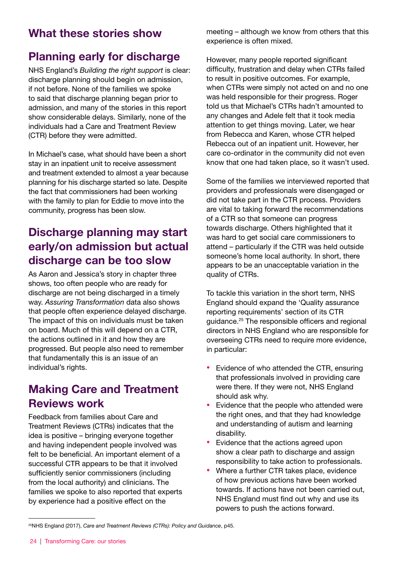### **What these stories show**

#### **Planning early for discharge**

NHS England's *Building the right support* is clear: discharge planning should begin on admission, if not before. None of the families we spoke to said that discharge planning began prior to admission, and many of the stories in this report show considerable delays. Similarly, none of the individuals had a Care and Treatment Review (CTR) before they were admitted.

In Michael's case, what should have been a short stay in an inpatient unit to receive assessment and treatment extended to almost a year because planning for his discharge started so late. Despite the fact that commissioners had been working with the family to plan for Eddie to move into the community, progress has been slow.

## **Discharge planning may start early/on admission but actual discharge can be too slow**

As Aaron and Jessica's story in chapter three shows, too often people who are ready for discharge are not being discharged in a timely way. *Assuring Transformation* data also shows that people often experience delayed discharge. The impact of this on individuals must be taken on board. Much of this will depend on a CTR, the actions outlined in it and how they are progressed. But people also need to remember that fundamentally this is an issue of an individual's rights.

## **Making Care and Treatment Reviews work**

Feedback from families about Care and Treatment Reviews (CTRs) indicates that the idea is positive – bringing everyone together and having independent people involved was felt to be beneficial. An important element of a successful CTR appears to be that it involved sufficiently senior commissioners (including from the local authority) and clinicians. The families we spoke to also reported that experts by experience had a positive effect on the

meeting – although we know from others that this experience is often mixed.

However, many people reported significant difficulty, frustration and delay when CTRs failed to result in positive outcomes. For example, when CTRs were simply not acted on and no one was held responsible for their progress. Roger told us that Michael's CTRs hadn't amounted to any changes and Adele felt that it took media attention to get things moving. Later, we hear from Rebecca and Karen, whose CTR helped Rebecca out of an inpatient unit. However, her care co-ordinator in the community did not even know that one had taken place, so it wasn't used.

Some of the families we interviewed reported that providers and professionals were disengaged or did not take part in the CTR process. Providers are vital to taking forward the recommendations of a CTR so that someone can progress towards discharge. Others highlighted that it was hard to get social care commissioners to attend – particularly if the CTR was held outside someone's home local authority. In short, there appears to be an unacceptable variation in the quality of CTRs.

To tackle this variation in the short term, NHS England should expand the 'Quality assurance reporting requirements' section of its CTR guidance.25 The responsible officers and regional directors in NHS England who are responsible for overseeing CTRs need to require more evidence, in particular:

- Evidence of who attended the CTR, ensuring that professionals involved in providing care were there. If they were not, NHS England should ask why.
- Evidence that the people who attended were the right ones, and that they had knowledge and understanding of autism and learning disability.
- Evidence that the actions agreed upon show a clear path to discharge and assign responsibility to take action to professionals.
- Where a further CTR takes place, evidence of how previous actions have been worked towards. If actions have not been carried out, NHS England must find out why and use its powers to push the actions forward.

<sup>25</sup>NHS England (2017), *Care and Treatment Reviews (CTRs): Policy and Guidance*, p45.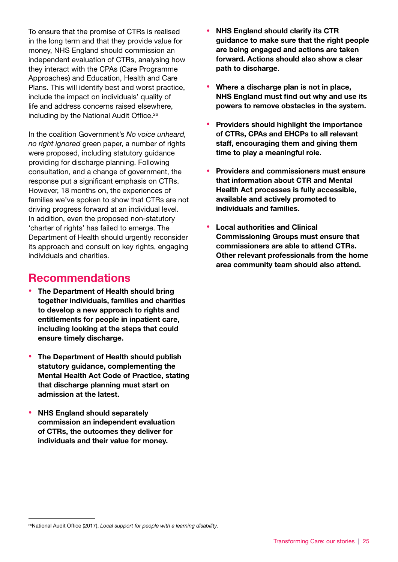To ensure that the promise of CTRs is realised in the long term and that they provide value for money, NHS England should commission an independent evaluation of CTRs, analysing how they interact with the CPAs (Care Programme Approaches) and Education, Health and Care Plans. This will identify best and worst practice, include the impact on individuals' quality of life and address concerns raised elsewhere, including by the National Audit Office.<sup>26</sup>

In the coalition Government's *No voice unheard, no right ignored* green paper, a number of rights were proposed, including statutory guidance providing for discharge planning. Following consultation, and a change of government, the response put a significant emphasis on CTRs. However, 18 months on, the experiences of families we've spoken to show that CTRs are not driving progress forward at an individual level. In addition, even the proposed non-statutory 'charter of rights' has failed to emerge. The Department of Health should urgently reconsider its approach and consult on key rights, engaging individuals and charities.

#### **Recommendations**

- **The Department of Health should bring together individuals, families and charities to develop a new approach to rights and entitlements for people in inpatient care, including looking at the steps that could ensure timely discharge.**
- **The Department of Health should publish statutory guidance, complementing the Mental Health Act Code of Practice, stating that discharge planning must start on admission at the latest.**
- **NHS England should separately commission an independent evaluation of CTRs, the outcomes they deliver for individuals and their value for money.**
- **NHS England should clarify its CTR guidance to make sure that the right people are being engaged and actions are taken forward. Actions should also show a clear path to discharge.**
- **Where a discharge plan is not in place, NHS England must find out why and use its powers to remove obstacles in the system.**
- **Providers should highlight the importance of CTRs, CPAs and EHCPs to all relevant staff, encouraging them and giving them time to play a meaningful role.**
- **Providers and commissioners must ensure that information about CTR and Mental Health Act processes is fully accessible, available and actively promoted to individuals and families.**
- **Local authorities and Clinical Commissioning Groups must ensure that commissioners are able to attend CTRs. Other relevant professionals from the home area community team should also attend.**

<sup>26</sup>National Audit Office (2017), *Local support for people with a learning disability*.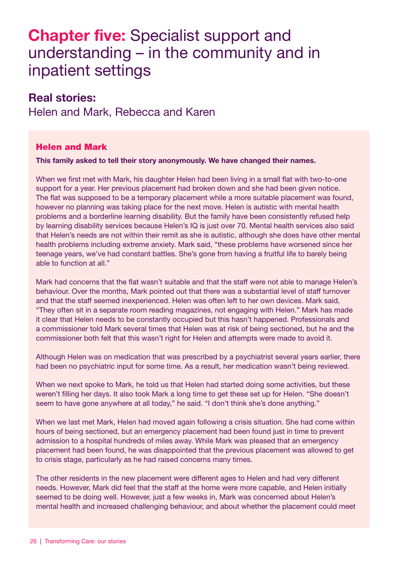## **Chapter five:** Specialist support and understanding – in the community and in inpatient settings

#### **Real stories:**

Helen and Mark, Rebecca and Karen

#### Helen and Mark

**This family asked to tell their story anonymously. We have changed their names.**

When we first met with Mark, his daughter Helen had been living in a small flat with two-to-one support for a year. Her previous placement had broken down and she had been given notice. The flat was supposed to be a temporary placement while a more suitable placement was found, however no planning was taking place for the next move. Helen is autistic with mental health problems and a borderline learning disability. But the family have been consistently refused help by learning disability services because Helen's IQ is just over 70. Mental health services also said that Helen's needs are not within their remit as she is autistic, although she does have other mental health problems including extreme anxiety. Mark said, "these problems have worsened since her teenage years, we've had constant battles. She's gone from having a fruitful life to barely being able to function at all."

Mark had concerns that the flat wasn't suitable and that the staff were not able to manage Helen's behaviour. Over the months, Mark pointed out that there was a substantial level of staff turnover and that the staff seemed inexperienced. Helen was often left to her own devices. Mark said, "They often sit in a separate room reading magazines, not engaging with Helen." Mark has made it clear that Helen needs to be constantly occupied but this hasn't happened. Professionals and a commissioner told Mark several times that Helen was at risk of being sectioned, but he and the commissioner both felt that this wasn't right for Helen and attempts were made to avoid it.

Although Helen was on medication that was prescribed by a psychiatrist several years earlier, there had been no psychiatric input for some time. As a result, her medication wasn't being reviewed.

When we next spoke to Mark, he told us that Helen had started doing some activities, but these weren't filling her days. It also took Mark a long time to get these set up for Helen. "She doesn't seem to have gone anywhere at all today," he said. "I don't think she's done anything."

When we last met Mark, Helen had moved again following a crisis situation. She had come within hours of being sectioned, but an emergency placement had been found just in time to prevent admission to a hospital hundreds of miles away. While Mark was pleased that an emergency placement had been found, he was disappointed that the previous placement was allowed to get to crisis stage, particularly as he had raised concerns many times.

The other residents in the new placement were different ages to Helen and had very different needs. However, Mark did feel that the staff at the home were more capable, and Helen initially seemed to be doing well. However, just a few weeks in, Mark was concerned about Helen's mental health and increased challenging behaviour, and about whether the placement could meet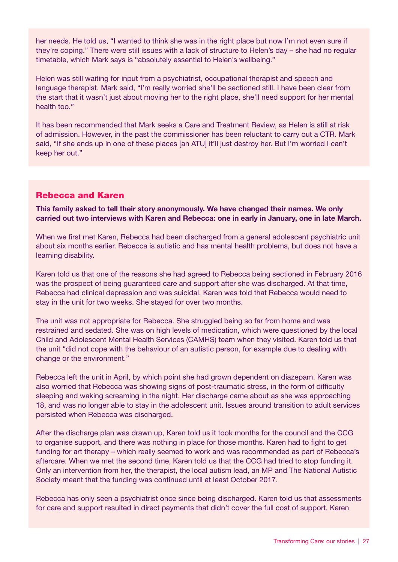her needs. He told us, "I wanted to think she was in the right place but now I'm not even sure if they're coping." There were still issues with a lack of structure to Helen's day – she had no regular timetable, which Mark says is "absolutely essential to Helen's wellbeing."

Helen was still waiting for input from a psychiatrist, occupational therapist and speech and language therapist. Mark said, "I'm really worried she'll be sectioned still. I have been clear from the start that it wasn't just about moving her to the right place, she'll need support for her mental health too."

It has been recommended that Mark seeks a Care and Treatment Review, as Helen is still at risk of admission. However, in the past the commissioner has been reluctant to carry out a CTR. Mark said, "If she ends up in one of these places [an ATU] it'll just destroy her. But I'm worried I can't keep her out."

#### Rebecca and Karen

**This family asked to tell their story anonymously. We have changed their names. We only carried out two interviews with Karen and Rebecca: one in early in January, one in late March.**

When we first met Karen, Rebecca had been discharged from a general adolescent psychiatric unit about six months earlier. Rebecca is autistic and has mental health problems, but does not have a learning disability.

Karen told us that one of the reasons she had agreed to Rebecca being sectioned in February 2016 was the prospect of being guaranteed care and support after she was discharged. At that time, Rebecca had clinical depression and was suicidal. Karen was told that Rebecca would need to stay in the unit for two weeks. She stayed for over two months.

The unit was not appropriate for Rebecca. She struggled being so far from home and was restrained and sedated. She was on high levels of medication, which were questioned by the local Child and Adolescent Mental Health Services (CAMHS) team when they visited. Karen told us that the unit "did not cope with the behaviour of an autistic person, for example due to dealing with change or the environment."

Rebecca left the unit in April, by which point she had grown dependent on diazepam. Karen was also worried that Rebecca was showing signs of post-traumatic stress, in the form of difficulty sleeping and waking screaming in the night. Her discharge came about as she was approaching 18, and was no longer able to stay in the adolescent unit. Issues around transition to adult services persisted when Rebecca was discharged.

After the discharge plan was drawn up, Karen told us it took months for the council and the CCG to organise support, and there was nothing in place for those months. Karen had to fight to get funding for art therapy – which really seemed to work and was recommended as part of Rebecca's aftercare. When we met the second time, Karen told us that the CCG had tried to stop funding it. Only an intervention from her, the therapist, the local autism lead, an MP and The National Autistic Society meant that the funding was continued until at least October 2017.

Rebecca has only seen a psychiatrist once since being discharged. Karen told us that assessments for care and support resulted in direct payments that didn't cover the full cost of support. Karen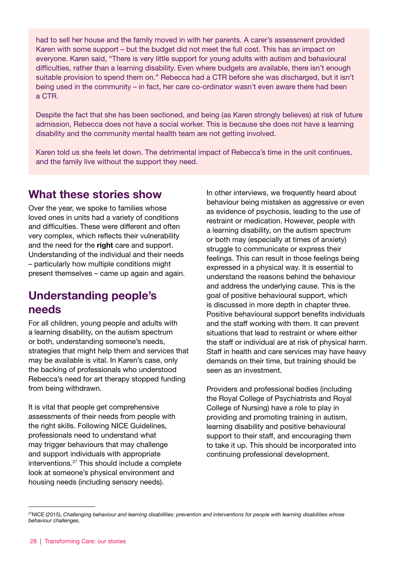had to sell her house and the family moved in with her parents. A carer's assessment provided Karen with some support – but the budget did not meet the full cost. This has an impact on everyone. Karen said, "There is very little support for young adults with autism and behavioural difficulties, rather than a learning disability. Even where budgets are available, there isn't enough suitable provision to spend them on." Rebecca had a CTR before she was discharged, but it isn't being used in the community – in fact, her care co-ordinator wasn't even aware there had been a CTR.

Despite the fact that she has been sectioned, and being (as Karen strongly believes) at risk of future admission, Rebecca does not have a social worker. This is because she does not have a learning disability and the community mental health team are not getting involved.

Karen told us she feels let down. The detrimental impact of Rebecca's time in the unit continues, and the family live without the support they need.

#### **What these stories show**

Over the year, we spoke to families whose loved ones in units had a variety of conditions and difficulties. These were different and often very complex, which reflects their vulnerability and the need for the **right** care and support. Understanding of the individual and their needs – particularly how multiple conditions might present themselves – came up again and again.

## **Understanding people's needs**

For all children, young people and adults with a learning disability, on the autism spectrum or both, understanding someone's needs, strategies that might help them and services that may be available is vital. In Karen's case, only the backing of professionals who understood Rebecca's need for art therapy stopped funding from being withdrawn.

It is vital that people get comprehensive assessments of their needs from people with the right skills. Following NICE Guidelines, professionals need to understand what may trigger behaviours that may challenge and support individuals with appropriate interventions.27 This should include a complete look at someone's physical environment and housing needs (including sensory needs).

In other interviews, we frequently heard about behaviour being mistaken as aggressive or even as evidence of psychosis, leading to the use of restraint or medication. However, people with a learning disability, on the autism spectrum or both may (especially at times of anxiety) struggle to communicate or express their feelings. This can result in those feelings being expressed in a physical way. It is essential to understand the reasons behind the behaviour and address the underlying cause. This is the goal of positive behavioural support, which is discussed in more depth in chapter three. Positive behavioural support benefits individuals and the staff working with them. It can prevent situations that lead to restraint or where either the staff or individual are at risk of physical harm. Staff in health and care services may have heavy demands on their time, but training should be seen as an investment.

Providers and professional bodies (including the Royal College of Psychiatrists and Royal College of Nursing) have a role to play in providing and promoting training in autism, learning disability and positive behavioural support to their staff, and encouraging them to take it up. This should be incorporated into continuing professional development.

<sup>&</sup>lt;sup>27</sup>NICE (2015), Challenging behaviour and learning disabilities: prevention and interventions for people with learning disabilities whose *behaviour challenges*.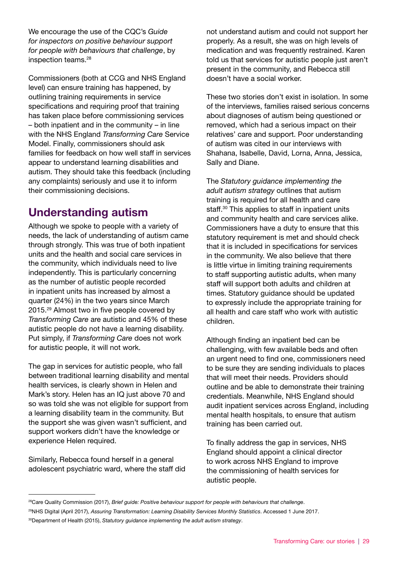We encourage the use of the CQC's *Guide for inspectors on positive behaviour support for people with behaviours that challenge*, by inspection teams.<sup>28</sup>

Commissioners (both at CCG and NHS England level) can ensure training has happened, by outlining training requirements in service specifications and requiring proof that training has taken place before commissioning services – both inpatient and in the community – in line with the NHS England *Transforming Care* Service Model. Finally, commissioners should ask families for feedback on how well staff in services appear to understand learning disabilities and autism. They should take this feedback (including any complaints) seriously and use it to inform their commissioning decisions.

### **Understanding autism**

Although we spoke to people with a variety of needs, the lack of understanding of autism came through strongly. This was true of both inpatient units and the health and social care services in the community, which individuals need to live independently. This is particularly concerning as the number of autistic people recorded in inpatient units has increased by almost a quarter (24%) in the two years since March 2015.29 Almost two in five people covered by *Transforming Care* are autistic and 45% of these autistic people do not have a learning disability. Put simply, if *Transforming Care* does not work for autistic people, it will not work.

The gap in services for autistic people, who fall between traditional learning disability and mental health services, is clearly shown in Helen and Mark's story. Helen has an IQ just above 70 and so was told she was not eligible for support from a learning disability team in the community. But the support she was given wasn't sufficient, and support workers didn't have the knowledge or experience Helen required.

Similarly, Rebecca found herself in a general adolescent psychiatric ward, where the staff did

not understand autism and could not support her properly. As a result, she was on high levels of medication and was frequently restrained. Karen told us that services for autistic people just aren't present in the community, and Rebecca still doesn't have a social worker.

These two stories don't exist in isolation. In some of the interviews, families raised serious concerns about diagnoses of autism being questioned or removed, which had a serious impact on their relatives' care and support. Poor understanding of autism was cited in our interviews with Shahana, Isabelle, David, Lorna, Anna, Jessica, Sally and Diane.

The *Statutory guidance implementing the adult autism strategy* outlines that autism training is required for all health and care staff.<sup>30</sup> This applies to staff in inpatient units and community health and care services alike. Commissioners have a duty to ensure that this statutory requirement is met and should check that it is included in specifications for services in the community. We also believe that there is little virtue in limiting training requirements to staff supporting autistic adults, when many staff will support both adults and children at times. Statutory guidance should be updated to expressly include the appropriate training for all health and care staff who work with autistic children.

Although finding an inpatient bed can be challenging, with few available beds and often an urgent need to find one, commissioners need to be sure they are sending individuals to places that will meet their needs. Providers should outline and be able to demonstrate their training credentials. Meanwhile, NHS England should audit inpatient services across England, including mental health hospitals, to ensure that autism training has been carried out.

To finally address the gap in services, NHS England should appoint a clinical director to work across NHS England to improve the commissioning of health services for autistic people.

<sup>28</sup>Care Quality Commission (2017), *Brief guide: Positive behaviour support for people with behaviours that challenge*.

<sup>29</sup>NHS Digital (April 2017), *Assuring Transformation: Learning Disability Services Monthly Statistics*. Accessed 1 June 2017. 30Department of Health (2015), *Statutory guidance implementing the adult autism strategy*.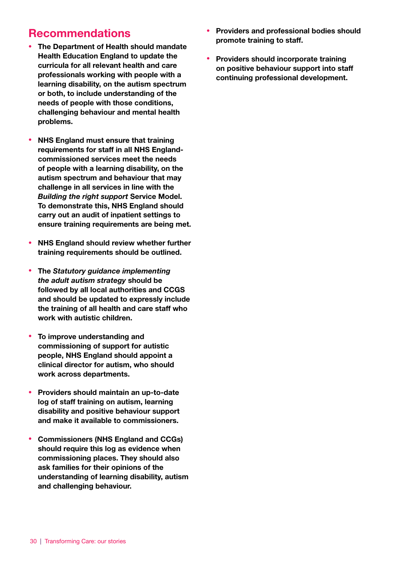### **Recommendations**

- **The Department of Health should mandate Health Education England to update the curricula for all relevant health and care professionals working with people with a learning disability, on the autism spectrum or both, to include understanding of the needs of people with those conditions, challenging behaviour and mental health problems.**
- **NHS England must ensure that training requirements for staff in all NHS Englandcommissioned services meet the needs of people with a learning disability, on the autism spectrum and behaviour that may challenge in all services in line with the**  *Building the right support* **Service Model. To demonstrate this, NHS England should carry out an audit of inpatient settings to ensure training requirements are being met.**
- **NHS England should review whether further training requirements should be outlined.**
- *•* **The** *Statutory guidance implementing the adult autism strategy* **should be followed by all local authorities and CCGS and should be updated to expressly include the training of all health and care staff who work with autistic children.**
- **To improve understanding and commissioning of support for autistic people, NHS England should appoint a clinical director for autism, who should work across departments.**
- **Providers should maintain an up-to-date log of staff training on autism, learning disability and positive behaviour support and make it available to commissioners.**
- **Commissioners (NHS England and CCGs) should require this log as evidence when commissioning places. They should also ask families for their opinions of the understanding of learning disability, autism and challenging behaviour.**
- **Providers and professional bodies should promote training to staff.**
- **Providers should incorporate training on positive behaviour support into staff continuing professional development.**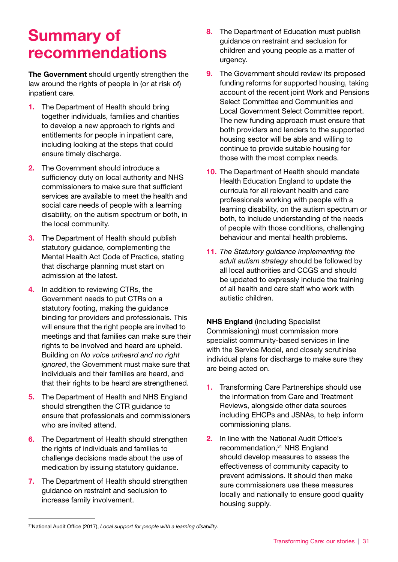## **Summary of recommendations**

**The Government** should urgently strengthen the law around the rights of people in (or at risk of) inpatient care.

- **1.** The Department of Health should bring together individuals, families and charities to develop a new approach to rights and entitlements for people in inpatient care, including looking at the steps that could ensure timely discharge.
- **2.** The Government should introduce a sufficiency duty on local authority and NHS commissioners to make sure that sufficient services are available to meet the health and social care needs of people with a learning disability, on the autism spectrum or both, in the local community.
- **3.** The Department of Health should publish statutory guidance, complementing the Mental Health Act Code of Practice, stating that discharge planning must start on admission at the latest.
- **4.** In addition to reviewing CTRs, the Government needs to put CTRs on a statutory footing, making the guidance binding for providers and professionals. This will ensure that the right people are invited to meetings and that families can make sure their rights to be involved and heard are upheld. Building on *No voice unheard and no right ignored*, the Government must make sure that individuals and their families are heard, and that their rights to be heard are strengthened.
- **5.** The Department of Health and NHS England should strengthen the CTR guidance to ensure that professionals and commissioners who are invited attend.
- **6.** The Department of Health should strengthen the rights of individuals and families to challenge decisions made about the use of medication by issuing statutory guidance.
- **7.** The Department of Health should strengthen guidance on restraint and seclusion to increase family involvement.
- **8.** The Department of Education must publish guidance on restraint and seclusion for children and young people as a matter of urgency.
- **9.** The Government should review its proposed funding reforms for supported housing, taking account of the recent joint Work and Pensions Select Committee and Communities and Local Government Select Committee report. The new funding approach must ensure that both providers and lenders to the supported housing sector will be able and willing to continue to provide suitable housing for those with the most complex needs.
- **10.** The Department of Health should mandate Health Education England to update the curricula for all relevant health and care professionals working with people with a learning disability, on the autism spectrum or both, to include understanding of the needs of people with those conditions, challenging behaviour and mental health problems.
- **11.** *The Statutory guidance implementing the adult autism strategy* should be followed by all local authorities and CCGS and should be updated to expressly include the training of all health and care staff who work with autistic children.

**NHS England** (including Specialist Commissioning) must commission more specialist community-based services in line with the Service Model, and closely scrutinise individual plans for discharge to make sure they are being acted on.

- **1.** Transforming Care Partnerships should use the information from Care and Treatment Reviews, alongside other data sources including EHCPs and JSNAs, to help inform commissioning plans.
- **2.** In line with the National Audit Office's recommendation,<sup>31</sup> NHS England should develop measures to assess the effectiveness of community capacity to prevent admissions. It should then make sure commissioners use these measures locally and nationally to ensure good quality housing supply.

<sup>31</sup>National Audit Office (2017), *Local support for people with a learning disability*.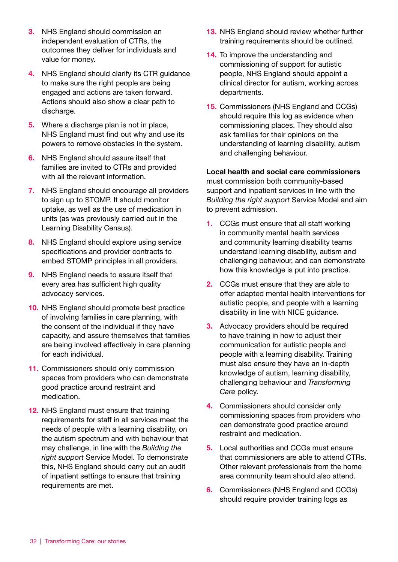- **3.** NHS England should commission an independent evaluation of CTRs, the outcomes they deliver for individuals and value for money.
- **4.** NHS England should clarify its CTR guidance to make sure the right people are being engaged and actions are taken forward. Actions should also show a clear path to discharge.
- **5.** Where a discharge plan is not in place, NHS England must find out why and use its powers to remove obstacles in the system.
- **6.** NHS England should assure itself that families are invited to CTRs and provided with all the relevant information.
- **7.** NHS England should encourage all providers to sign up to STOMP. It should monitor uptake, as well as the use of medication in units (as was previously carried out in the Learning Disability Census).
- **8.** NHS England should explore using service specifications and provider contracts to embed STOMP principles in all providers.
- **9.** NHS England needs to assure itself that every area has sufficient high quality advocacy services.
- **10.** NHS England should promote best practice of involving families in care planning, with the consent of the individual if they have capacity, and assure themselves that families are being involved effectively in care planning for each individual.
- **11.** Commissioners should only commission spaces from providers who can demonstrate good practice around restraint and medication.
- **12.** NHS England must ensure that training requirements for staff in all services meet the needs of people with a learning disability, on the autism spectrum and with behaviour that may challenge, in line with the *Building the right support* Service Model. To demonstrate this, NHS England should carry out an audit of inpatient settings to ensure that training requirements are met.
- **13.** NHS England should review whether further training requirements should be outlined.
- **14.** To improve the understanding and commissioning of support for autistic people, NHS England should appoint a clinical director for autism, working across departments.
- **15.** Commissioners (NHS England and CCGs) should require this log as evidence when commissioning places. They should also ask families for their opinions on the understanding of learning disability, autism and challenging behaviour.

#### **Local health and social care commissioners**

must commission both community-based support and inpatient services in line with the *Building the right support* Service Model and aim to prevent admission.

- **1.** CCGs must ensure that all staff working in community mental health services and community learning disability teams understand learning disability, autism and challenging behaviour, and can demonstrate how this knowledge is put into practice.
- **2.** CCGs must ensure that they are able to offer adapted mental health interventions for autistic people, and people with a learning disability in line with NICE guidance.
- **3.** Advocacy providers should be required to have training in how to adjust their communication for autistic people and people with a learning disability. Training must also ensure they have an in-depth knowledge of autism, learning disability, challenging behaviour and *Transforming Care* policy.
- **4.** Commissioners should consider only commissioning spaces from providers who can demonstrate good practice around restraint and medication.
- **5.** Local authorities and CCGs must ensure that commissioners are able to attend CTRs. Other relevant professionals from the home area community team should also attend.
- **6.** Commissioners (NHS England and CCGs) should require provider training logs as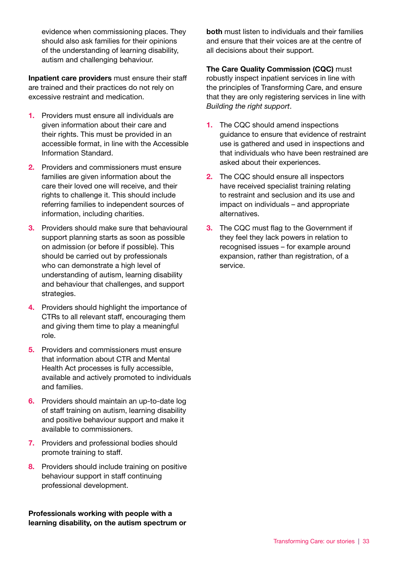evidence when commissioning places. They should also ask families for their opinions of the understanding of learning disability, autism and challenging behaviour.

**Inpatient care providers** must ensure their staff are trained and their practices do not rely on excessive restraint and medication.

- **1.** Providers must ensure all individuals are given information about their care and their rights. This must be provided in an accessible format, in line with the Accessible Information Standard.
- **2.** Providers and commissioners must ensure families are given information about the care their loved one will receive, and their rights to challenge it. This should include referring families to independent sources of information, including charities.
- **3.** Providers should make sure that behavioural support planning starts as soon as possible on admission (or before if possible). This should be carried out by professionals who can demonstrate a high level of understanding of autism, learning disability and behaviour that challenges, and support strategies.
- **4.** Providers should highlight the importance of CTRs to all relevant staff, encouraging them and giving them time to play a meaningful role.
- **5.** Providers and commissioners must ensure that information about CTR and Mental Health Act processes is fully accessible, available and actively promoted to individuals and families.
- **6.** Providers should maintain an up-to-date log of staff training on autism, learning disability and positive behaviour support and make it available to commissioners.
- **7.** Providers and professional bodies should promote training to staff.
- **8.** Providers should include training on positive behaviour support in staff continuing professional development.

**Professionals working with people with a learning disability, on the autism spectrum or**  **both** must listen to individuals and their families and ensure that their voices are at the centre of all decisions about their support.

#### **The Care Quality Commission (CQC)** must

robustly inspect inpatient services in line with the principles of Transforming Care, and ensure that they are only registering services in line with *Building the right support*.

- **1.** The CQC should amend inspections guidance to ensure that evidence of restraint use is gathered and used in inspections and that individuals who have been restrained are asked about their experiences.
- **2.** The CQC should ensure all inspectors have received specialist training relating to restraint and seclusion and its use and impact on individuals – and appropriate alternatives.
- **3.** The CQC must flag to the Government if they feel they lack powers in relation to recognised issues – for example around expansion, rather than registration, of a service.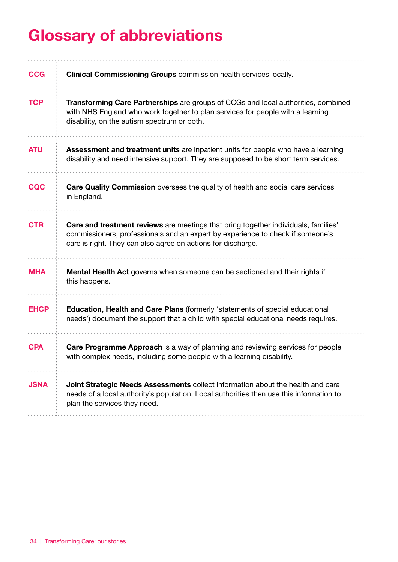## **Glossary of abbreviations**

| <b>CCG</b>  | Clinical Commissioning Groups commission health services locally.                                                                                                                                                                    |
|-------------|--------------------------------------------------------------------------------------------------------------------------------------------------------------------------------------------------------------------------------------|
| <b>TCP</b>  | Transforming Care Partnerships are groups of CCGs and local authorities, combined<br>with NHS England who work together to plan services for people with a learning<br>disability, on the autism spectrum or both.                   |
| <b>ATU</b>  | Assessment and treatment units are inpatient units for people who have a learning<br>disability and need intensive support. They are supposed to be short term services.                                                             |
| <b>CQC</b>  | Care Quality Commission oversees the quality of health and social care services<br>in England.                                                                                                                                       |
| <b>CTR</b>  | Care and treatment reviews are meetings that bring together individuals, families'<br>commissioners, professionals and an expert by experience to check if someone's<br>care is right. They can also agree on actions for discharge. |
| <b>MHA</b>  | <b>Mental Health Act</b> governs when someone can be sectioned and their rights if<br>this happens.                                                                                                                                  |
| <b>EHCP</b> | <b>Education, Health and Care Plans (formerly 'statements of special educational</b><br>needs') document the support that a child with special educational needs requires.                                                           |
| <b>CPA</b>  | <b>Care Programme Approach</b> is a way of planning and reviewing services for people<br>with complex needs, including some people with a learning disability.                                                                       |
| <b>JSNA</b> | Joint Strategic Needs Assessments collect information about the health and care<br>needs of a local authority's population. Local authorities then use this information to<br>plan the services they need.                           |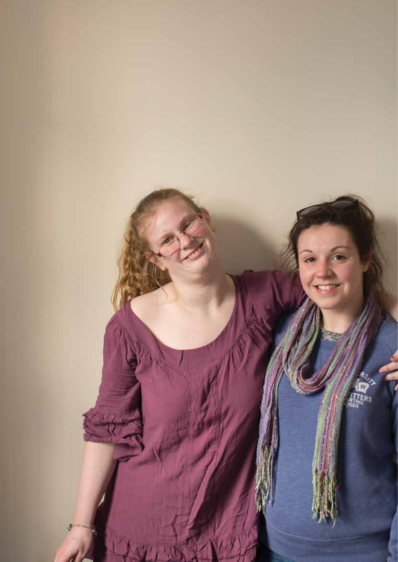